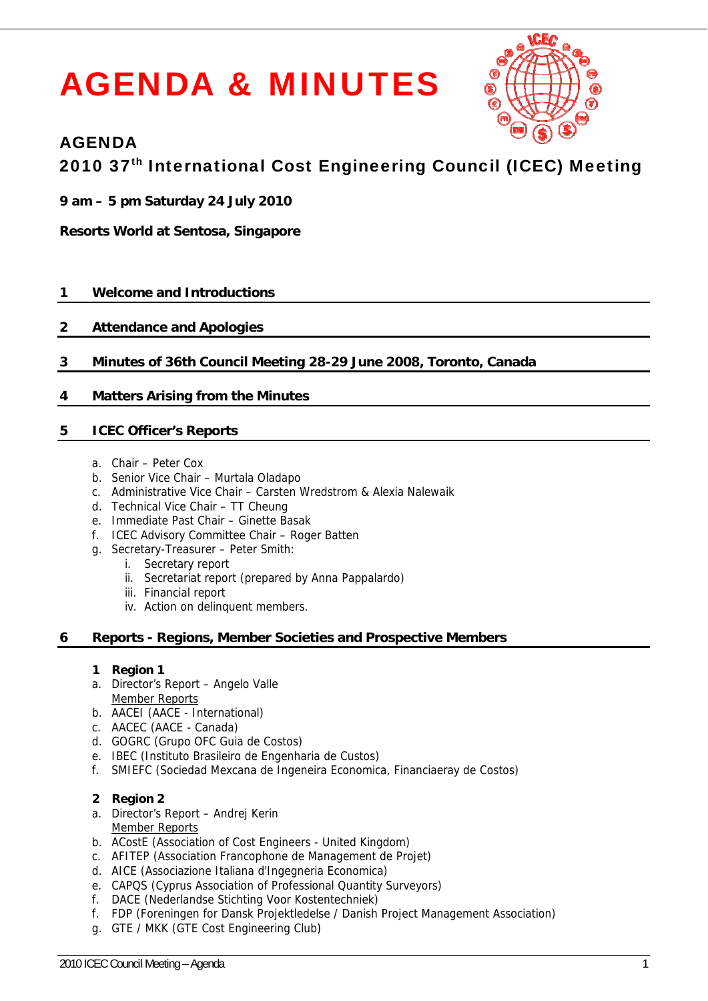# A AGE ENDA A & & MIN NUT **Engineering C<br>
Engineering C<br>
8-29 June 2008, To<br>
8-29 June 2008, To<br>
7 Batten<br>
r Batten<br>
Inna Pappalardo)<br>
ies and Prospective<br>
a Economica, Financiae<br>
1. United Kingdom)<br>
a Economica, Financiae<br>
entechniek)<br>
se / Danish**



# A AGENDA

# AGENDA<br>2010 37<sup>th</sup> International Cost Engineering Council (ICEC) Meeting

- **9 9 am 5 p pm Saturda ay 24 July 2010**
- **Resorts World at Sentosa, Singapore**

### **1** 1 Welcome and Introductions

### **2** 2 Attendance and Apologies

**3 3** Minutes of 36th Council Meeting 28-29 June 2008, Toronto, Canada

### **4 4 Matte ers Arising from the Minutes**

### **5 5 ICEC Officer's R Reports**

- a. Chair Peter Cox
- b. Senior Vice Chair Murtala Oladapo
- c. Administrative Vice Chair Carsten Wredstrom & Alexia Nalewaik
- d. Technical Vice Chair TT Cheung
- e. Immediate Past Chair Ginette Basak
- f. ICEC Advisory Committee Chair Roger Batten
- g. Secretary-Treasurer Peter Smith:
- i. Secretary report
- ii. Secretariat report (prepared by Anna Pappalardo)
- iii. Financial report
- iv. Action on delinquent members.

### **6 6** Reports - Regions, Member Societies and Prospective Members

### **1 Reg gion 1**

- a. Director's Report Angelo Valle Member Reports
- b. AACEI (AACE International)
- c. AAC CEC (AACE Canada)
- d. GOGRC (Grupo OFC Guia de Costos)
- e. IBEC (Instituto Brasileiro de Engenharia de Custos)
- f. SMIEFC (Sociedad Mexcana de Ingeneira Economica, Financiaeray de Costos)

### **2 Reg gion 2**

- a. Director's Report Andrej Kerin Member Reports
- b. ACostE (Association of Cost Engineers United Kingdom)
- c. AFITEP (Association Francophone de Management de Projet)
- d. AICE (Associazione Italiana d'Ingegneria Economica)
- e. CAPQS (Cyprus Association of Professional Quantity Surveyors)
- f. DACE (Nederlandse Stichting Voor Kostentechniek)
- f. FDP (Foreningen for Dansk Projektledelse / Danish Project Management Association)
- g. GTE / MKK (GTE Cost Engineering Club)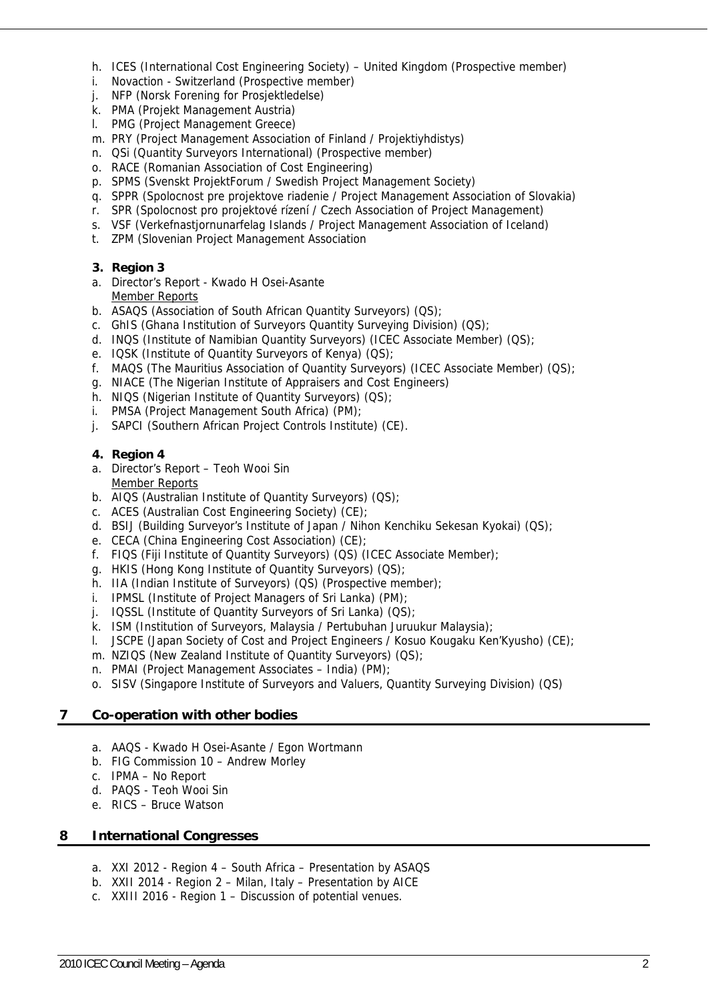- h. ICES (International Cost Engineering Society) United Kingdom (Prospective member)
- i. Novaction Switzerland (Prospective member)
- j. NFP (Norsk Forening for Prosjektledelse)
- k. PMA (Projekt Management Austria)
- l. PMG (Project Management Greece)
- m. PRY (Project Management Association of Finland / Projektiyhdistys)
- n. QSi (Quantity Surveyors International) (Prospective member)
- o. RACE (Romanian Association of Cost Engineering)
- p. SPMS (Svenskt ProjektForum / Swedish Project Management Society)
- q. SPPR (Spolocnost pre projektove riadenie / Project Management Association of Slovakia)
- r. SPR (Spolocnost pro projektové rízení / Czech Association of Project Management)
- s. VSF (Verkefnastjornunarfelag Islands / Project Management Association of Iceland)
- t. ZPM (Slovenian Project Management Association
- **3. Region 3**
- a. Director's Report Kwado H Osei-Asante Member Reports
- b. ASAQS (Association of South African Quantity Surveyors) (QS);
- c. GhIS (Ghana Institution of Surveyors Quantity Surveying Division) (QS);
- d. INQS (Institute of Namibian Quantity Surveyors) (ICEC Associate Member) (QS);
- e. IQSK (Institute of Quantity Surveyors of Kenya) (QS);
- f. MAQS (The Mauritius Association of Quantity Surveyors) (ICEC Associate Member) (QS);
- g. NIACE (The Nigerian Institute of Appraisers and Cost Engineers)
- h. NIQS (Nigerian Institute of Quantity Surveyors) (QS);
- i. PMSA (Project Management South Africa) (PM);
- j. SAPCI (Southern African Project Controls Institute) (CE).

### **4. Region 4**

- a. Director's Report Teoh Wooi Sin Member Reports
- b. AIQS (Australian Institute of Quantity Surveyors) (QS);
- c. ACES (Australian Cost Engineering Society) (CE);
- d. BSIJ (Building Surveyor's Institute of Japan / Nihon Kenchiku Sekesan Kyokai) (QS);
- e. CECA (China Engineering Cost Association) (CE);
- f. FIQS (Fiji Institute of Quantity Surveyors) (QS) (ICEC Associate Member);
- g. HKIS (Hong Kong Institute of Quantity Surveyors) (QS);
- h. IIA (Indian Institute of Surveyors) (QS) (Prospective member);
- i. IPMSL (Institute of Project Managers of Sri Lanka) (PM);
- j. IQSSL (Institute of Quantity Surveyors of Sri Lanka) (QS);
- k. ISM (Institution of Surveyors, Malaysia / Pertubuhan Juruukur Malaysia);
- l. JSCPE (Japan Society of Cost and Project Engineers / Kosuo Kougaku Ken'Kyusho) (CE);
- m. NZIQS (New Zealand Institute of Quantity Surveyors) (QS);
- n. PMAI (Project Management Associates India) (PM);
- o. SISV (Singapore Institute of Surveyors and Valuers, Quantity Surveying Division) (QS)

### **7 Co-operation with other bodies**

- a. AAQS Kwado H Osei-Asante / Egon Wortmann
- b. FIG Commission 10 Andrew Morley
- c. IPMA No Report
- d. PAQS Teoh Wooi Sin
- e. RICS Bruce Watson

### **8 International Congresses**

- a. XXI 2012 Region 4 South Africa Presentation by ASAQS
- b. XXII 2014 Region 2 Milan, Italy Presentation by AICE
- c. XXIII 2016 Region 1 Discussion of potential venues.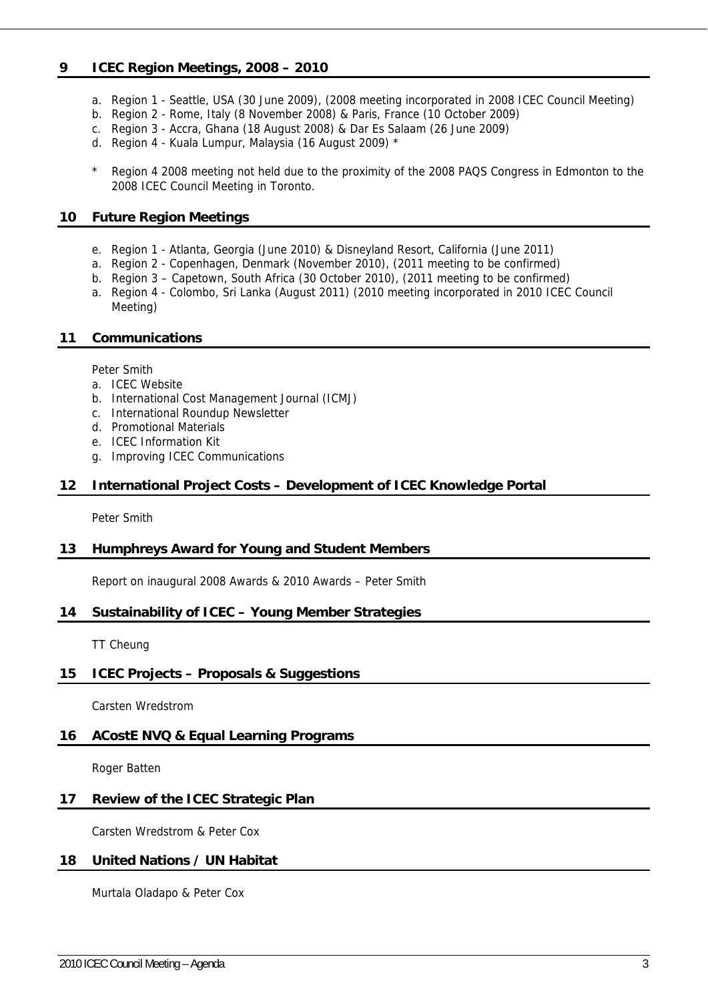### **9 ICEC Region Meetings, 2008 – 2010**

- a. Region 1 Seattle, USA (30 June 2009), (2008 meeting incorporated in 2008 ICEC Council Meeting)
- b. Region 2 Rome, Italy (8 November 2008) & Paris, France (10 October 2009)
- c. Region 3 Accra, Ghana (18 August 2008) & Dar Es Salaam (26 June 2009)
- d. Region 4 Kuala Lumpur, Malaysia (16 August 2009) \*
- Region 4 2008 meeting not held due to the proximity of the 2008 PAQS Congress in Edmonton to the 2008 ICEC Council Meeting in Toronto.

### **10 Future Region Meetings**

- e. Region 1 Atlanta, Georgia (June 2010) & Disneyland Resort, California (June 2011)
- a. Region 2 Copenhagen, Denmark (November 2010), (2011 meeting to be confirmed)
- b. Region 3 Capetown, South Africa (30 October 2010), (2011 meeting to be confirmed)
- a. Region 4 Colombo, Sri Lanka (August 2011) (2010 meeting incorporated in 2010 ICEC Council Meeting)

### **11 Communications**

Peter Smith

- a. ICEC Website
- b. International Cost Management Journal (ICMJ)
- c. International Roundup Newsletter
- d. Promotional Materials
- e. ICEC Information Kit
- g. Improving ICEC Communications

### **12 International Project Costs – Development of ICEC Knowledge Portal**

Peter Smith

### **13 Humphreys Award for Young and Student Members**

Report on inaugural 2008 Awards & 2010 Awards – Peter Smith

### **14 Sustainability of ICEC – Young Member Strategies**

TT Cheung

### **15 ICEC Projects – Proposals & Suggestions**

Carsten Wredstrom

### **16 ACostE NVQ & Equal Learning Programs**

Roger Batten

### **17 Review of the ICEC Strategic Plan**

Carsten Wredstrom & Peter Cox

### **18 United Nations / UN Habitat**

Murtala Oladapo & Peter Cox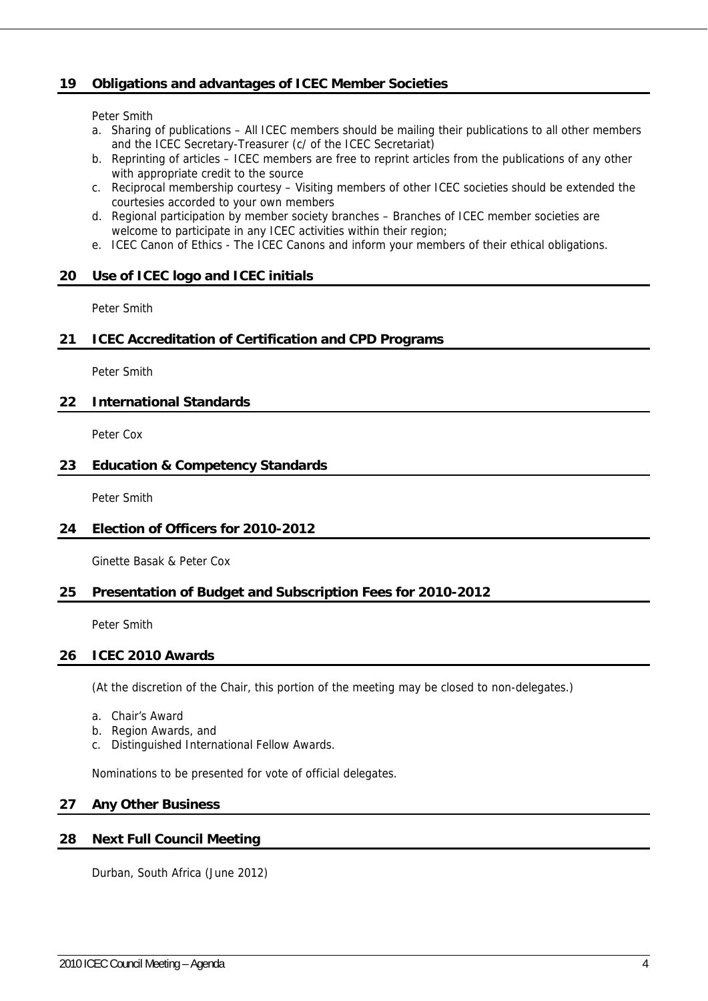### **19 Obligations and advantages of ICEC Member Societies**

Peter Smith

- a. Sharing of publications All ICEC members should be mailing their publications to all other members and the ICEC Secretary-Treasurer (c/ of the ICEC Secretariat)
- b. Reprinting of articles ICEC members are free to reprint articles from the publications of any other with appropriate credit to the source
- c. Reciprocal membership courtesy Visiting members of other ICEC societies should be extended the courtesies accorded to your own members
- d. Regional participation by member society branches Branches of ICEC member societies are welcome to participate in any ICEC activities within their region;
- e. ICEC Canon of Ethics The ICEC Canons and inform your members of their ethical obligations.

### **20 Use of ICEC logo and ICEC initials**

Peter Smith

### **21 ICEC Accreditation of Certification and CPD Programs**

Peter Smith

### **22 International Standards**

Peter Cox

### **23 Education & Competency Standards**

Peter Smith

### **24 Election of Officers for 2010-2012**

Ginette Basak & Peter Cox

### **25 Presentation of Budget and Subscription Fees for 2010-2012**

Peter Smith

### **26 ICEC 2010 Awards**

(At the discretion of the Chair, this portion of the meeting may be closed to non-delegates.)

- a. Chair's Award
- b. Region Awards, and
- c. Distinguished International Fellow Awards.

Nominations to be presented for vote of official delegates.

### **27 Any Other Business**

### **28 Next Full Council Meeting**

Durban, South Africa (June 2012)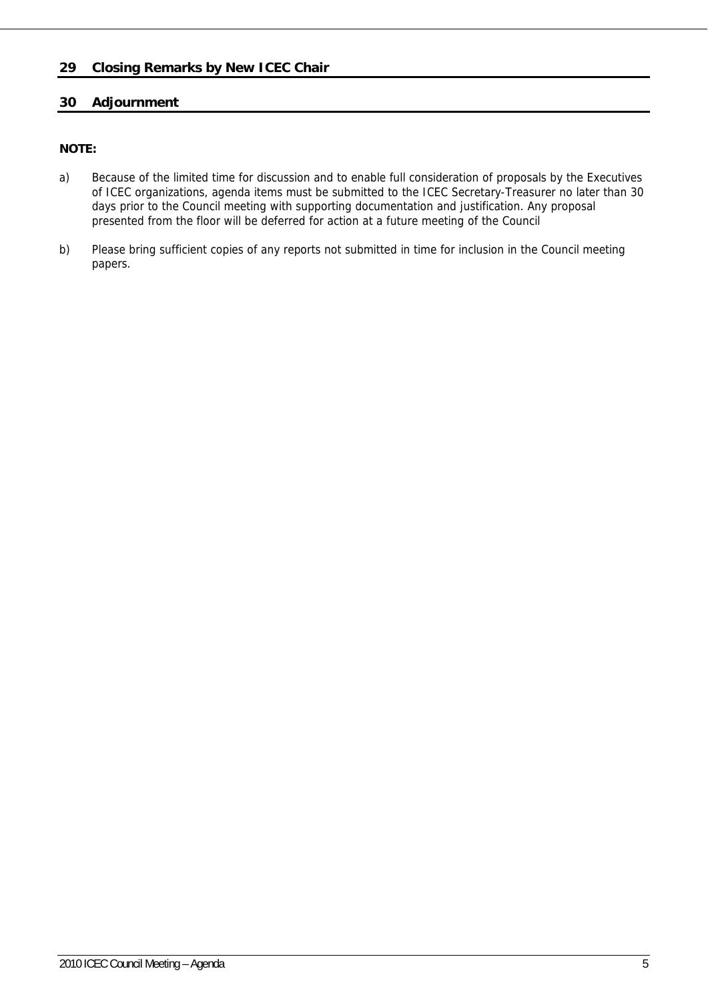### **29 Closing Remarks by New ICEC Chair**

### **30 Adjournment**

### **NOTE:**

- a) Because of the limited time for discussion and to enable full consideration of proposals by the Executives of ICEC organizations, agenda items must be submitted to the ICEC Secretary-Treasurer no later than 30 days prior to the Council meeting with supporting documentation and justification. Any proposal presented from the floor will be deferred for action at a future meeting of the Council
- b) Please bring sufficient copies of any reports not submitted in time for inclusion in the Council meeting papers.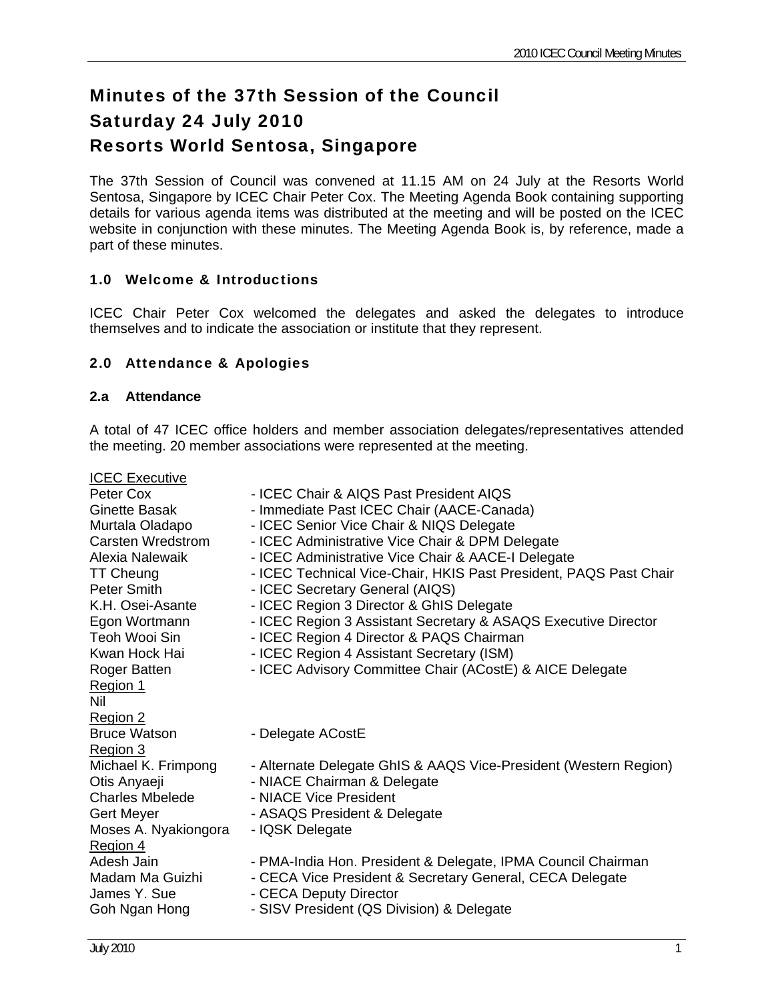# Minutes of the 37th Session of the Council Saturday 24 July 2010 Resorts World Sentosa, Singapore

The 37th Session of Council was convened at 11.15 AM on 24 July at the Resorts World Sentosa, Singapore by ICEC Chair Peter Cox. The Meeting Agenda Book containing supporting details for various agenda items was distributed at the meeting and will be posted on the ICEC website in conjunction with these minutes. The Meeting Agenda Book is, by reference, made a part of these minutes.

### 1.0 Welcome & Introductions

ICEC Chair Peter Cox welcomed the delegates and asked the delegates to introduce themselves and to indicate the association or institute that they represent.

### 2.0 Attendance & Apologies

### **2.a Attendance**

A total of 47 ICEC office holders and member association delegates/representatives attended the meeting. 20 member associations were represented at the meeting.

ICEC Executive Peter Cox **- ICEC Chair & AIQS Past President AIQS** Ginette Basak - Immediate Past ICEC Chair (AACE-Canada) Murtala Oladapo - ICEC Senior Vice Chair & NIQS Delegate Carsten Wredstrom - ICEC Administrative Vice Chair & DPM Delegate Alexia Nalewaik - ICEC Administrative Vice Chair & AACE-I Delegate TT Cheung - ICEC Technical Vice-Chair, HKIS Past President, PAQS Past Chair Peter Smith - ICEC Secretary General (AIQS) K.H. Osei-Asante - ICEC Region 3 Director & GhIS Delegate Egon Wortmann - ICEC Region 3 Assistant Secretary & ASAQS Executive Director Teoh Wooi Sin - ICEC Region 4 Director & PAQS Chairman Kwan Hock Hai **- ICEC Region 4 Assistant Secretary (ISM)** Roger Batten - ICEC Advisory Committee Chair (ACostE) & AICE Delegate Region 1 Nil Region 2 Bruce Watson - Delegate ACostE Region 3 Michael K. Frimpong - Alternate Delegate GhIS & AAQS Vice-President (Western Region) Otis Anyaeji **- NIACE Chairman & Delegate** Charles Mbelede - NIACE Vice President Gert Meyer - ASAQS President & Delegate Moses A. Nyakiongora - IQSK Delegate Region 4 Adesh Jain - PMA-India Hon. President & Delegate, IPMA Council Chairman Madam Ma Guizhi - CECA Vice President & Secretary General, CECA Delegate James Y. Sue **- CECA Deputy Director** Goh Ngan Hong - SISV President (QS Division) & Delegate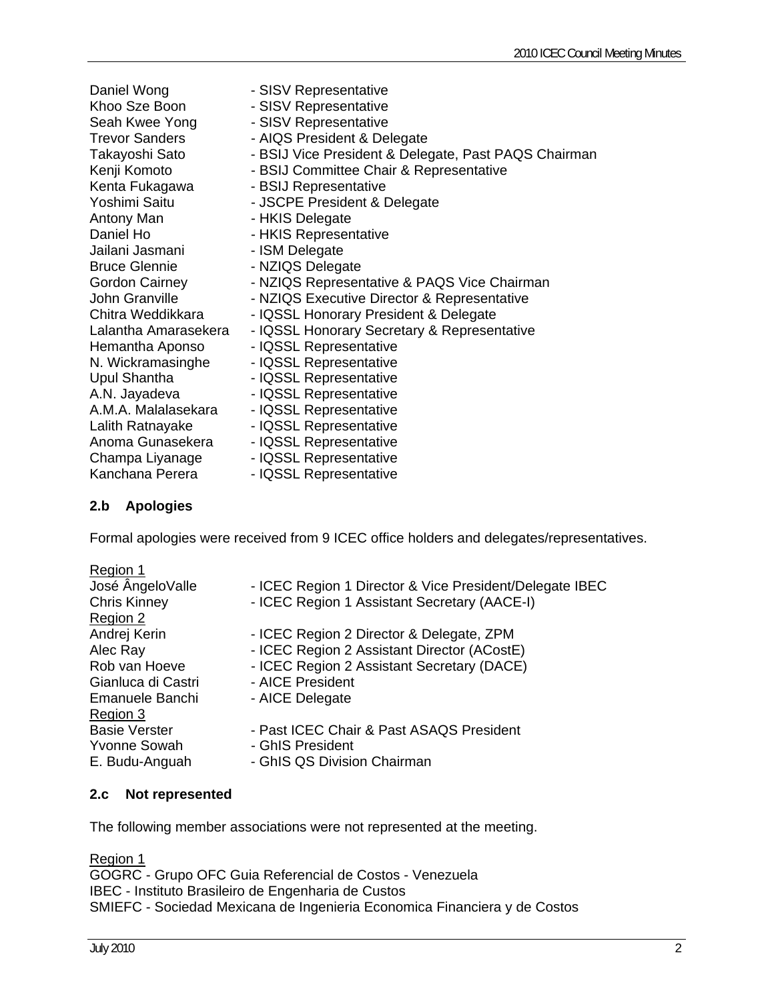| Daniel Wong           | - SISV Representative                                |
|-----------------------|------------------------------------------------------|
| Khoo Sze Boon         | - SISV Representative                                |
|                       | - SISV Representative                                |
| Seah Kwee Yong        |                                                      |
| <b>Trevor Sanders</b> | - AIQS President & Delegate                          |
| Takayoshi Sato        | - BSIJ Vice President & Delegate, Past PAQS Chairman |
| Kenji Komoto          | - BSIJ Committee Chair & Representative              |
| Kenta Fukagawa        | - BSIJ Representative                                |
| Yoshimi Saitu         | - JSCPE President & Delegate                         |
| Antony Man            | - HKIS Delegate                                      |
| Daniel Ho             | - HKIS Representative                                |
| Jailani Jasmani       | - ISM Delegate                                       |
| <b>Bruce Glennie</b>  | - NZIQS Delegate                                     |
| Gordon Cairney        | - NZIQS Representative & PAQS Vice Chairman          |
| John Granville        | - NZIQS Executive Director & Representative          |
| Chitra Weddikkara     | - IQSSL Honorary President & Delegate                |
| Lalantha Amarasekera  | - IQSSL Honorary Secretary & Representative          |
| Hemantha Aponso       | - IQSSL Representative                               |
| N. Wickramasinghe     | - IQSSL Representative                               |
| Upul Shantha          | - IQSSL Representative                               |
| A.N. Jayadeva         | - IQSSL Representative                               |
| A.M.A. Malalasekara   | - IQSSL Representative                               |
| Lalith Ratnayake      | - IQSSL Representative                               |
| Anoma Gunasekera      | - IQSSL Representative                               |
| Champa Liyanage       | - IQSSL Representative                               |
| Kanchana Perera       | - IQSSL Representative                               |

### **2.b Apologies**

Formal apologies were received from 9 ICEC office holders and delegates/representatives.

| Region 1             |                                                         |
|----------------------|---------------------------------------------------------|
| José ÂngeloValle     | - ICEC Region 1 Director & Vice President/Delegate IBEC |
| <b>Chris Kinney</b>  | - ICEC Region 1 Assistant Secretary (AACE-I)            |
| Region 2             |                                                         |
| Andrej Kerin         | - ICEC Region 2 Director & Delegate, ZPM                |
| Alec Ray             | - ICEC Region 2 Assistant Director (ACostE)             |
| Rob van Hoeve        | - ICEC Region 2 Assistant Secretary (DACE)              |
| Gianluca di Castri   | - AICE President                                        |
| Emanuele Banchi      | - AICE Delegate                                         |
| Region 3             |                                                         |
| <b>Basie Verster</b> | - Past ICEC Chair & Past ASAQS President                |
| <b>Yvonne Sowah</b>  | - GhIS President                                        |
| E. Budu-Anguah       | - GhIS QS Division Chairman                             |
|                      |                                                         |

### **2.c Not represented**

The following member associations were not represented at the meeting.

Region 1

GOGRC - Grupo OFC Guia Referencial de Costos - Venezuela IBEC - Instituto Brasileiro de Engenharia de Custos SMIEFC - Sociedad Mexicana de Ingenieria Economica Financiera y de Costos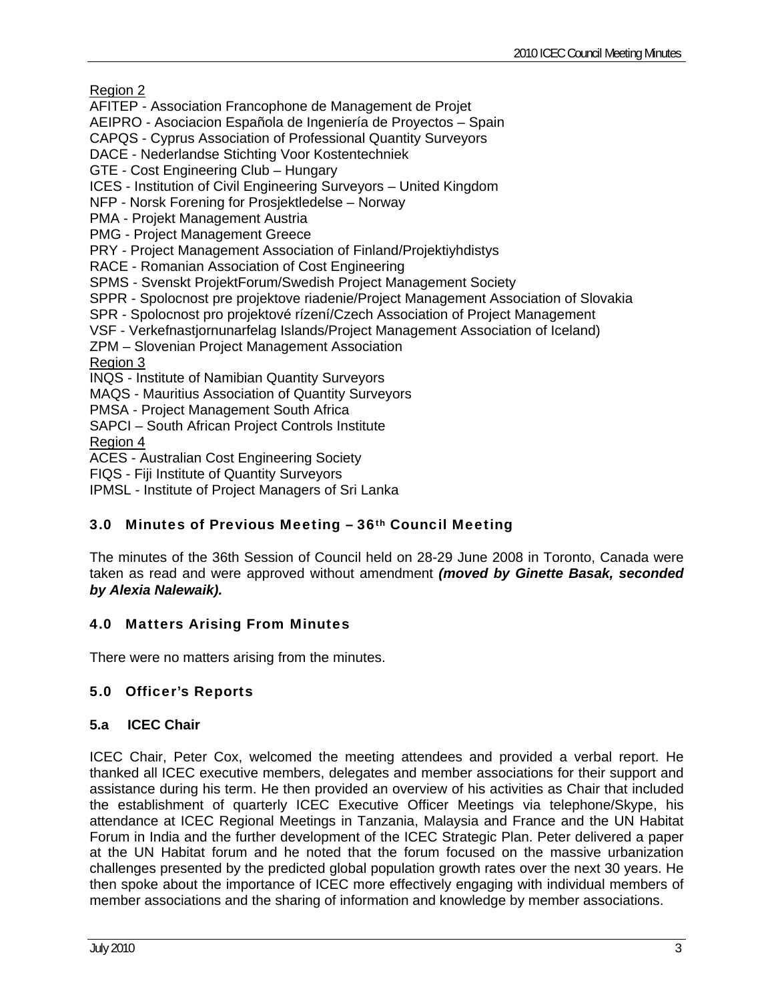Region 2

AFITEP - Association Francophone de Management de Projet

AEIPRO - Asociacion Española de Ingeniería de Proyectos – Spain

CAPQS - Cyprus Association of Professional Quantity Surveyors

DACE - Nederlandse Stichting Voor Kostentechniek

GTE - Cost Engineering Club – Hungary

ICES - Institution of Civil Engineering Surveyors – United Kingdom

NFP - Norsk Forening for Prosjektledelse – Norway

PMA - Projekt Management Austria

PMG - Project Management Greece

PRY - Project Management Association of Finland/Projektiyhdistys

RACE - Romanian Association of Cost Engineering

SPMS - Svenskt ProjektForum/Swedish Project Management Society

SPPR - Spolocnost pre projektove riadenie/Project Management Association of Slovakia

SPR - Spolocnost pro projektové rízení/Czech Association of Project Management

VSF - Verkefnastjornunarfelag Islands/Project Management Association of Iceland)

ZPM – Slovenian Project Management Association

Region 3

INQS - Institute of Namibian Quantity Surveyors

MAQS - Mauritius Association of Quantity Surveyors

PMSA - Project Management South Africa

SAPCI – South African Project Controls Institute

Region 4

ACES - Australian Cost Engineering Society

FIQS - Fiji Institute of Quantity Surveyors

IPMSL - Institute of Project Managers of Sri Lanka

### 3.0 Minutes of Previous Meeting – 36th Council Meeting

The minutes of the 36th Session of Council held on 28-29 June 2008 in Toronto, Canada were taken as read and were approved without amendment *(moved by Ginette Basak, seconded by Alexia Nalewaik).* 

### 4.0 Matters Arising From Minutes

There were no matters arising from the minutes.

### 5.0 Officer's Reports

### **5.a ICEC Chair**

ICEC Chair, Peter Cox, welcomed the meeting attendees and provided a verbal report. He thanked all ICEC executive members, delegates and member associations for their support and assistance during his term. He then provided an overview of his activities as Chair that included the establishment of quarterly ICEC Executive Officer Meetings via telephone/Skype, his attendance at ICEC Regional Meetings in Tanzania, Malaysia and France and the UN Habitat Forum in India and the further development of the ICEC Strategic Plan. Peter delivered a paper at the UN Habitat forum and he noted that the forum focused on the massive urbanization challenges presented by the predicted global population growth rates over the next 30 years. He then spoke about the importance of ICEC more effectively engaging with individual members of member associations and the sharing of information and knowledge by member associations.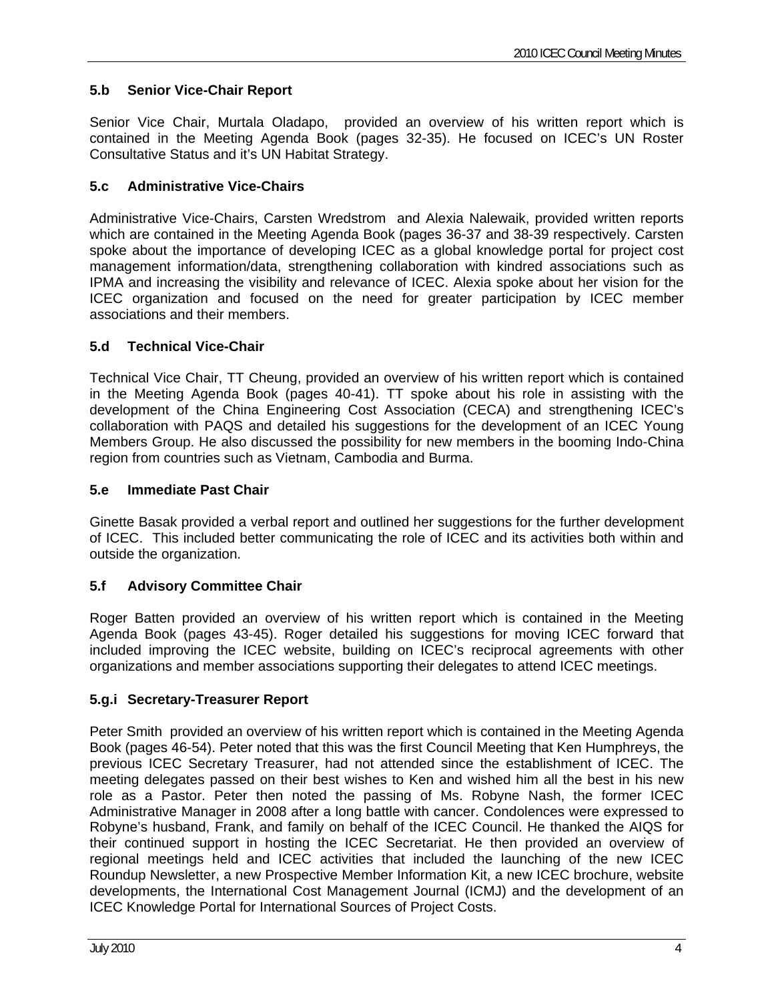## **5.b Senior Vice-Chair Report**

Senior Vice Chair, Murtala Oladapo, provided an overview of his written report which is contained in the Meeting Agenda Book (pages 32-35). He focused on ICEC's UN Roster Consultative Status and it's UN Habitat Strategy.

### **5.c Administrative Vice-Chairs**

Administrative Vice-Chairs, Carsten Wredstrom and Alexia Nalewaik, provided written reports which are contained in the Meeting Agenda Book (pages 36-37 and 38-39 respectively. Carsten spoke about the importance of developing ICEC as a global knowledge portal for project cost management information/data, strengthening collaboration with kindred associations such as IPMA and increasing the visibility and relevance of ICEC. Alexia spoke about her vision for the ICEC organization and focused on the need for greater participation by ICEC member associations and their members.

### **5.d Technical Vice-Chair**

Technical Vice Chair, TT Cheung, provided an overview of his written report which is contained in the Meeting Agenda Book (pages 40-41). TT spoke about his role in assisting with the development of the China Engineering Cost Association (CECA) and strengthening ICEC's collaboration with PAQS and detailed his suggestions for the development of an ICEC Young Members Group. He also discussed the possibility for new members in the booming Indo-China region from countries such as Vietnam, Cambodia and Burma.

### **5.e Immediate Past Chair**

Ginette Basak provided a verbal report and outlined her suggestions for the further development of ICEC. This included better communicating the role of ICEC and its activities both within and outside the organization.

### **5.f Advisory Committee Chair**

Roger Batten provided an overview of his written report which is contained in the Meeting Agenda Book (pages 43-45). Roger detailed his suggestions for moving ICEC forward that included improving the ICEC website, building on ICEC's reciprocal agreements with other organizations and member associations supporting their delegates to attend ICEC meetings.

### **5.g.i Secretary-Treasurer Report**

Peter Smith provided an overview of his written report which is contained in the Meeting Agenda Book (pages 46-54). Peter noted that this was the first Council Meeting that Ken Humphreys, the previous ICEC Secretary Treasurer, had not attended since the establishment of ICEC. The meeting delegates passed on their best wishes to Ken and wished him all the best in his new role as a Pastor. Peter then noted the passing of Ms. Robyne Nash, the former ICEC Administrative Manager in 2008 after a long battle with cancer. Condolences were expressed to Robyne's husband, Frank, and family on behalf of the ICEC Council. He thanked the AIQS for their continued support in hosting the ICEC Secretariat. He then provided an overview of regional meetings held and ICEC activities that included the launching of the new ICEC Roundup Newsletter, a new Prospective Member Information Kit, a new ICEC brochure, website developments, the International Cost Management Journal (ICMJ) and the development of an ICEC Knowledge Portal for International Sources of Project Costs.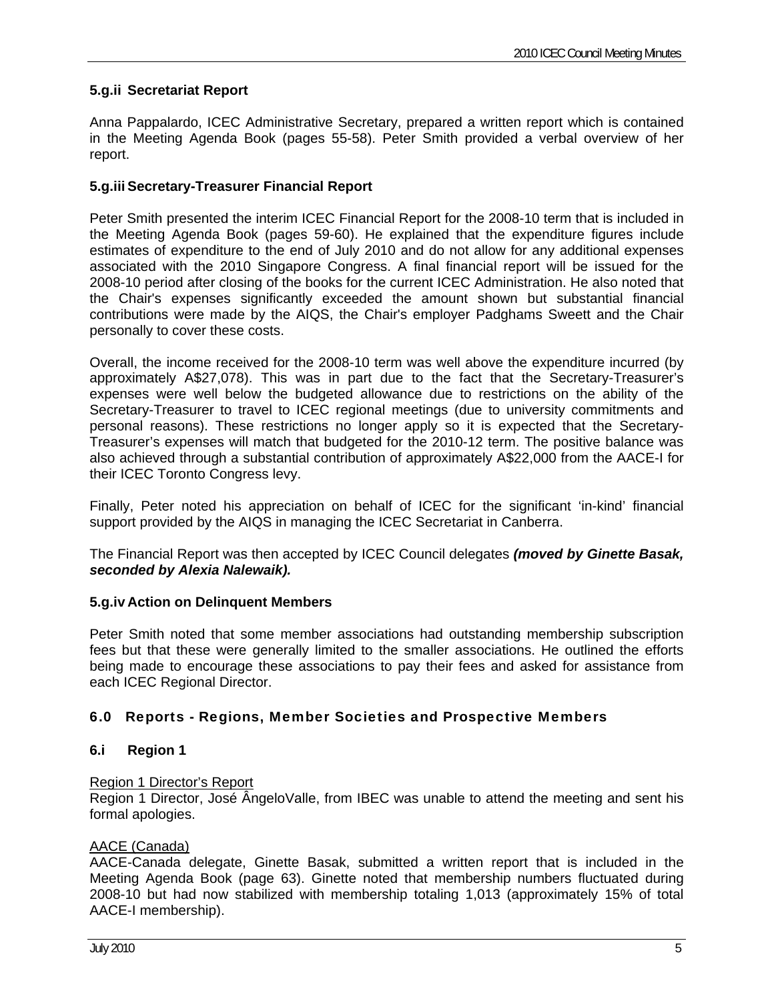### **5.g.ii Secretariat Report**

Anna Pappalardo, ICEC Administrative Secretary, prepared a written report which is contained in the Meeting Agenda Book (pages 55-58). Peter Smith provided a verbal overview of her report.

### **5.g.iii Secretary-Treasurer Financial Report**

Peter Smith presented the interim ICEC Financial Report for the 2008-10 term that is included in the Meeting Agenda Book (pages 59-60). He explained that the expenditure figures include estimates of expenditure to the end of July 2010 and do not allow for any additional expenses associated with the 2010 Singapore Congress. A final financial report will be issued for the 2008-10 period after closing of the books for the current ICEC Administration. He also noted that the Chair's expenses significantly exceeded the amount shown but substantial financial contributions were made by the AIQS, the Chair's employer Padghams Sweett and the Chair personally to cover these costs.

Overall, the income received for the 2008-10 term was well above the expenditure incurred (by approximately A\$27,078). This was in part due to the fact that the Secretary-Treasurer's expenses were well below the budgeted allowance due to restrictions on the ability of the Secretary-Treasurer to travel to ICEC regional meetings (due to university commitments and personal reasons). These restrictions no longer apply so it is expected that the Secretary-Treasurer's expenses will match that budgeted for the 2010-12 term. The positive balance was also achieved through a substantial contribution of approximately A\$22,000 from the AACE-I for their ICEC Toronto Congress levy.

Finally, Peter noted his appreciation on behalf of ICEC for the significant 'in-kind' financial support provided by the AIQS in managing the ICEC Secretariat in Canberra.

The Financial Report was then accepted by ICEC Council delegates *(moved by Ginette Basak, seconded by Alexia Nalewaik).* 

### **5.g.iv Action on Delinquent Members**

Peter Smith noted that some member associations had outstanding membership subscription fees but that these were generally limited to the smaller associations. He outlined the efforts being made to encourage these associations to pay their fees and asked for assistance from each ICEC Regional Director.

### 6.0 Reports - Regions, Member Societies and Prospective Members

### **6.i Region 1**

### Region 1 Director's Report

Region 1 Director, José ÂngeloValle, from IBEC was unable to attend the meeting and sent his formal apologies.

### AACE (Canada)

AACE-Canada delegate, Ginette Basak, submitted a written report that is included in the Meeting Agenda Book (page 63). Ginette noted that membership numbers fluctuated during 2008-10 but had now stabilized with membership totaling 1,013 (approximately 15% of total AACE-I membership).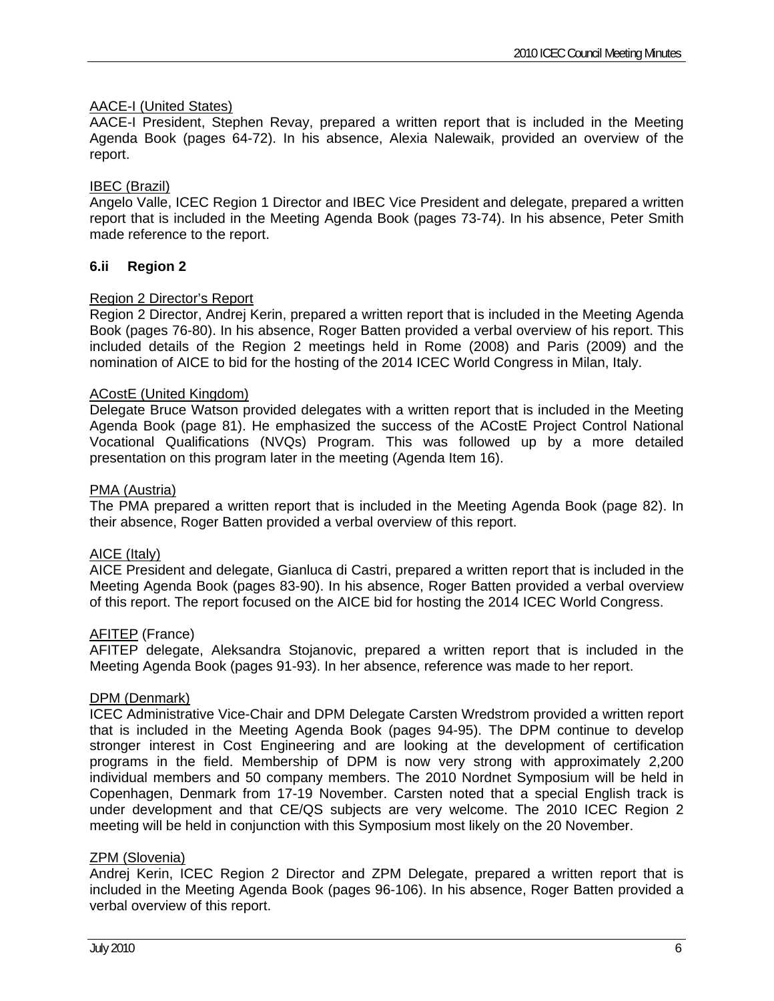### AACE-I (United States)

AACE-I President, Stephen Revay, prepared a written report that is included in the Meeting Agenda Book (pages 64-72). In his absence, Alexia Nalewaik, provided an overview of the report.

### IBEC (Brazil)

Angelo Valle, ICEC Region 1 Director and IBEC Vice President and delegate, prepared a written report that is included in the Meeting Agenda Book (pages 73-74). In his absence, Peter Smith made reference to the report.

### **6.ii Region 2**

### Region 2 Director's Report

Region 2 Director, Andrej Kerin, prepared a written report that is included in the Meeting Agenda Book (pages 76-80). In his absence, Roger Batten provided a verbal overview of his report. This included details of the Region 2 meetings held in Rome (2008) and Paris (2009) and the nomination of AICE to bid for the hosting of the 2014 ICEC World Congress in Milan, Italy.

### ACostE (United Kingdom)

Delegate Bruce Watson provided delegates with a written report that is included in the Meeting Agenda Book (page 81). He emphasized the success of the ACostE Project Control National Vocational Qualifications (NVQs) Program. This was followed up by a more detailed presentation on this program later in the meeting (Agenda Item 16).

### PMA (Austria)

The PMA prepared a written report that is included in the Meeting Agenda Book (page 82). In their absence, Roger Batten provided a verbal overview of this report.

### AICE (Italy)

AICE President and delegate, Gianluca di Castri, prepared a written report that is included in the Meeting Agenda Book (pages 83-90). In his absence, Roger Batten provided a verbal overview of this report. The report focused on the AICE bid for hosting the 2014 ICEC World Congress.

### **AFITEP** (France)

AFITEP delegate, Aleksandra Stojanovic, prepared a written report that is included in the Meeting Agenda Book (pages 91-93). In her absence, reference was made to her report.

### DPM (Denmark)

ICEC Administrative Vice-Chair and DPM Delegate Carsten Wredstrom provided a written report that is included in the Meeting Agenda Book (pages 94-95). The DPM continue to develop stronger interest in Cost Engineering and are looking at the development of certification programs in the field. Membership of DPM is now very strong with approximately 2,200 individual members and 50 company members. The 2010 Nordnet Symposium will be held in Copenhagen, Denmark from 17-19 November. Carsten noted that a special English track is under development and that CE/QS subjects are very welcome. The 2010 ICEC Region 2 meeting will be held in conjunction with this Symposium most likely on the 20 November.

### ZPM (Slovenia)

Andrej Kerin, ICEC Region 2 Director and ZPM Delegate, prepared a written report that is included in the Meeting Agenda Book (pages 96-106). In his absence, Roger Batten provided a verbal overview of this report.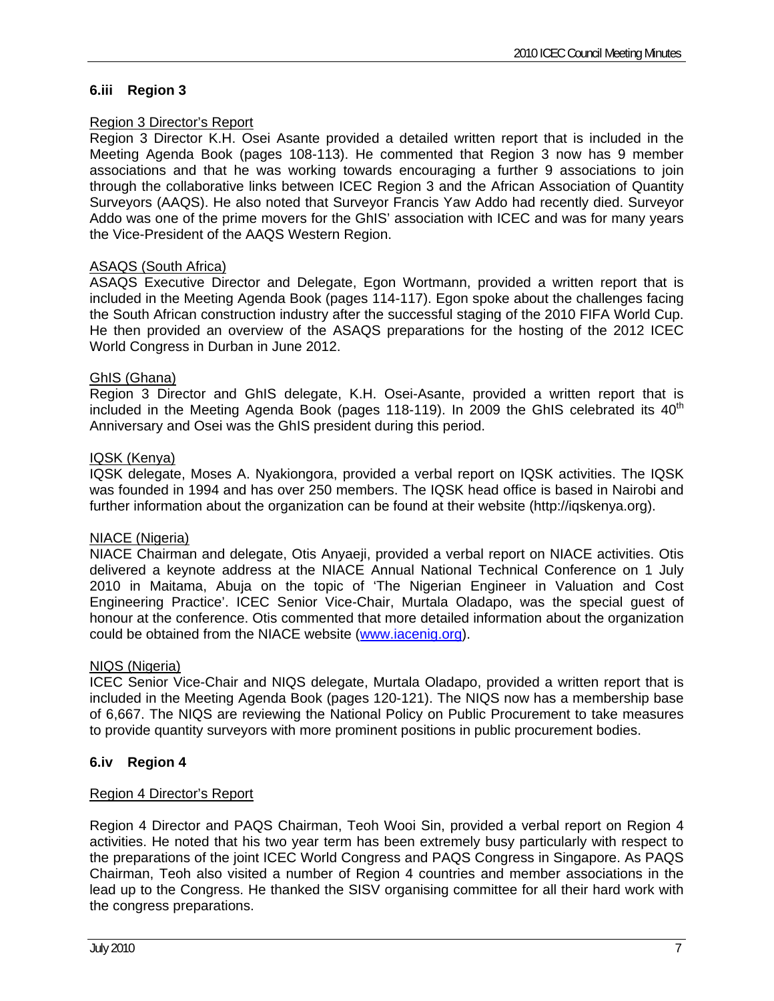### **6.iii Region 3**

### Region 3 Director's Report

Region 3 Director K.H. Osei Asante provided a detailed written report that is included in the Meeting Agenda Book (pages 108-113). He commented that Region 3 now has 9 member associations and that he was working towards encouraging a further 9 associations to join through the collaborative links between ICEC Region 3 and the African Association of Quantity Surveyors (AAQS). He also noted that Surveyor Francis Yaw Addo had recently died. Surveyor Addo was one of the prime movers for the GhIS' association with ICEC and was for many years the Vice-President of the AAQS Western Region.

### ASAQS (South Africa)

ASAQS Executive Director and Delegate, Egon Wortmann, provided a written report that is included in the Meeting Agenda Book (pages 114-117). Egon spoke about the challenges facing the South African construction industry after the successful staging of the 2010 FIFA World Cup. He then provided an overview of the ASAQS preparations for the hosting of the 2012 ICEC World Congress in Durban in June 2012.

### GhIS (Ghana)

Region 3 Director and GhIS delegate, K.H. Osei-Asante, provided a written report that is included in the Meeting Agenda Book (pages 118-119). In 2009 the GhIS celebrated its  $40<sup>th</sup>$ Anniversary and Osei was the GhIS president during this period.

### IQSK (Kenya)

IQSK delegate, Moses A. Nyakiongora, provided a verbal report on IQSK activities. The IQSK was founded in 1994 and has over 250 members. The IQSK head office is based in Nairobi and further information about the organization can be found at their website (http://iqskenya.org).

### NIACE (Nigeria)

NIACE Chairman and delegate, Otis Anyaeji, provided a verbal report on NIACE activities. Otis delivered a keynote address at the NIACE Annual National Technical Conference on 1 July 2010 in Maitama, Abuja on the topic of 'The Nigerian Engineer in Valuation and Cost Engineering Practice'. ICEC Senior Vice-Chair, Murtala Oladapo, was the special guest of honour at the conference. Otis commented that more detailed information about the organization could be obtained from the NIACE website ([www.iacenig.org\)](http://www.iacenig.org/).

### NIQS (Nigeria)

ICEC Senior Vice-Chair and NIQS delegate, Murtala Oladapo, provided a written report that is included in the Meeting Agenda Book (pages 120-121). The NIQS now has a membership base of 6,667. The NIQS are reviewing the National Policy on Public Procurement to take measures to provide quantity surveyors with more prominent positions in public procurement bodies.

### **6.iv Region 4**

### Region 4 Director's Report

Region 4 Director and PAQS Chairman, Teoh Wooi Sin, provided a verbal report on Region 4 activities. He noted that his two year term has been extremely busy particularly with respect to the preparations of the joint ICEC World Congress and PAQS Congress in Singapore. As PAQS Chairman, Teoh also visited a number of Region 4 countries and member associations in the lead up to the Congress. He thanked the SISV organising committee for all their hard work with the congress preparations.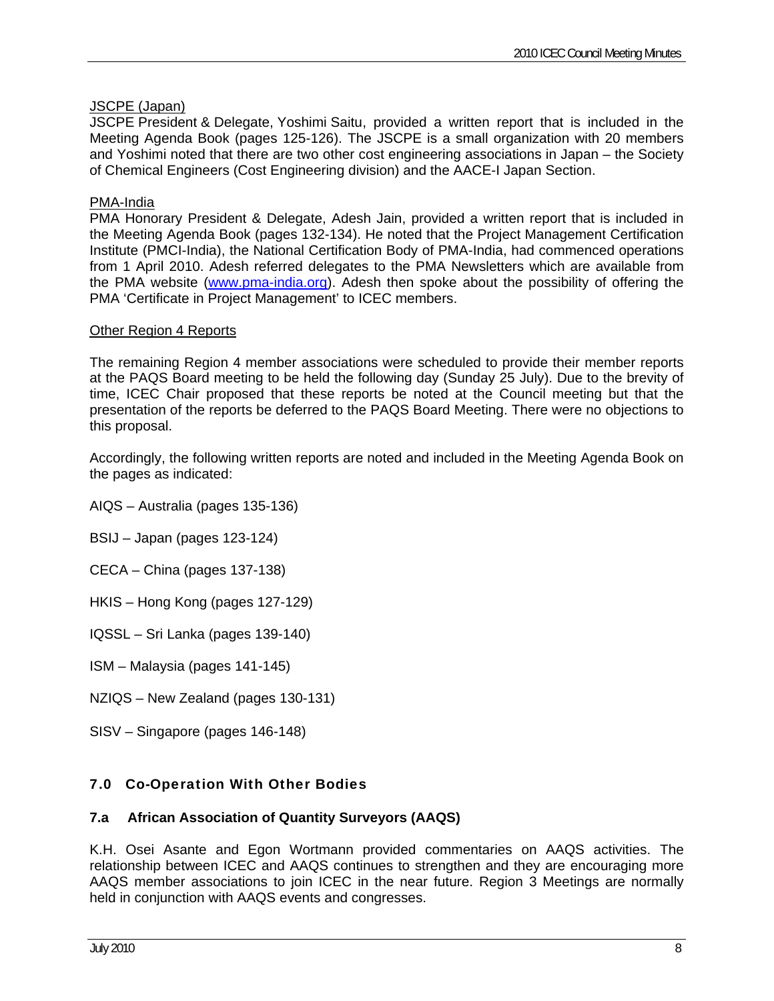### JSCPE (Japan)

JSCPE President & Delegate, Yoshimi Saitu , provided a written report that is included in the Meeting Agenda Book (pages 125-126). The JSCPE is a small organization with 20 members and Yoshimi noted that there are two other cost engineering associations in Japan – the Society of Chemical Engineers (Cost Engineering division) and the AACE-I Japan Section.

### PMA-India

PMA Honorary President & Delegate, Adesh Jain, provided a written report that is included in the Meeting Agenda Book (pages 132-134). He noted that the Project Management Certification Institute (PMCI-India), the National Certification Body of PMA-India, had commenced operations from 1 April 2010. Adesh referred delegates to the PMA Newsletters which are available from the PMA website ([www.pma-india.org](http://www.pma-india.org/)). Adesh then spoke about the possibility of offering the PMA 'Certificate in Project Management' to ICEC members.

### Other Region 4 Reports

The remaining Region 4 member associations were scheduled to provide their member reports at the PAQS Board meeting to be held the following day (Sunday 25 July). Due to the brevity of time, ICEC Chair proposed that these reports be noted at the Council meeting but that the presentation of the reports be deferred to the PAQS Board Meeting. There were no objections to this proposal.

Accordingly, the following written reports are noted and included in the Meeting Agenda Book on the pages as indicated:

- AIQS Australia (pages 135-136)
- BSIJ Japan (pages 123-124)
- CECA China (pages 137-138)
- HKIS Hong Kong (pages 127-129)
- IQSSL Sri Lanka (pages 139-140)
- ISM Malaysia (pages 141-145)
- NZIQS New Zealand (pages 130-131)
- SISV Singapore (pages 146-148)

### 7.0 Co-Operation With Other Bodies

### **7.a African Association of Quantity Surveyors (AAQS)**

K.H. Osei Asante and Egon Wortmann provided commentaries on AAQS activities. The relationship between ICEC and AAQS continues to strengthen and they are encouraging more AAQS member associations to join ICEC in the near future. Region 3 Meetings are normally held in conjunction with AAQS events and congresses.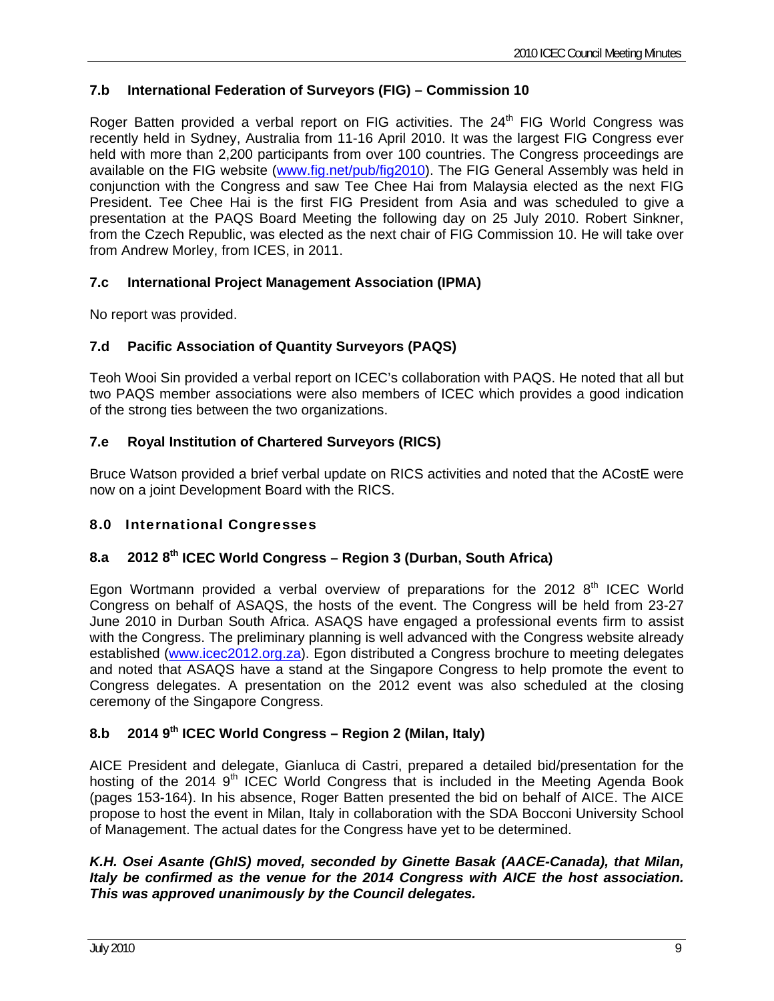### **7.b International Federation of Surveyors (FIG) – Commission 10**

Roger Batten provided a verbal report on FIG activities. The  $24<sup>th</sup>$  FIG World Congress was recently held in Sydney, Australia from 11-16 April 2010. It was the largest FIG Congress ever held with more than 2,200 participants from over 100 countries. The Congress proceedings are available on the FIG website ([www.fig.net/pub/fig2010](http://www.fig.net/pub/fig2010)). The FIG General Assembly was held in conjunction with the Congress and saw Tee Chee Hai from Malaysia elected as the next FIG President. Tee Chee Hai is the first FIG President from Asia and was scheduled to give a presentation at the PAQS Board Meeting the following day on 25 July 2010. Robert Sinkner, from the Czech Republic, was elected as the next chair of FIG Commission 10. He will take over from Andrew Morley, from ICES, in 2011.

### **7.c International Project Management Association (IPMA)**

No report was provided.

### **7.d Pacific Association of Quantity Surveyors (PAQS)**

Teoh Wooi Sin provided a verbal report on ICEC's collaboration with PAQS. He noted that all but two PAQS member associations were also members of ICEC which provides a good indication of the strong ties between the two organizations.

### **7.e Royal Institution of Chartered Surveyors (RICS)**

Bruce Watson provided a brief verbal update on RICS activities and noted that the ACostE were now on a joint Development Board with the RICS.

### 8.0 International Congresses

## **8.a 2012 8th ICEC World Congress – Region 3 (Durban, South Africa)**

Egon Wortmann provided a verbal overview of preparations for the 2012  $8<sup>th</sup>$  ICEC World Congress on behalf of ASAQS, the hosts of the event. The Congress will be held from 23-27 June 2010 in Durban South Africa. ASAQS have engaged a professional events firm to assist with the Congress. The preliminary planning is well advanced with the Congress website already established ([www.icec2012.org.za](http://www.icec2012.org.za/)). Egon distributed a Congress brochure to meeting delegates and noted that ASAQS have a stand at the Singapore Congress to help promote the event to Congress delegates. A presentation on the 2012 event was also scheduled at the closing ceremony of the Singapore Congress.

# **8.b 2014 9th ICEC World Congress – Region 2 (Milan, Italy)**

AICE President and delegate, Gianluca di Castri, prepared a detailed bid/presentation for the hosting of the 2014  $9<sup>th</sup>$  ICEC World Congress that is included in the Meeting Agenda Book (pages 153-164). In his absence, Roger Batten presented the bid on behalf of AICE. The AICE propose to host the event in Milan, Italy in collaboration with the SDA Bocconi University School of Management. The actual dates for the Congress have yet to be determined.

### *K.H. Osei Asante (GhIS) moved, seconded by Ginette Basak (AACE-Canada), that Milan, Italy be confirmed as the venue for the 2014 Congress with AICE the host association. This was approved unanimously by the Council delegates.*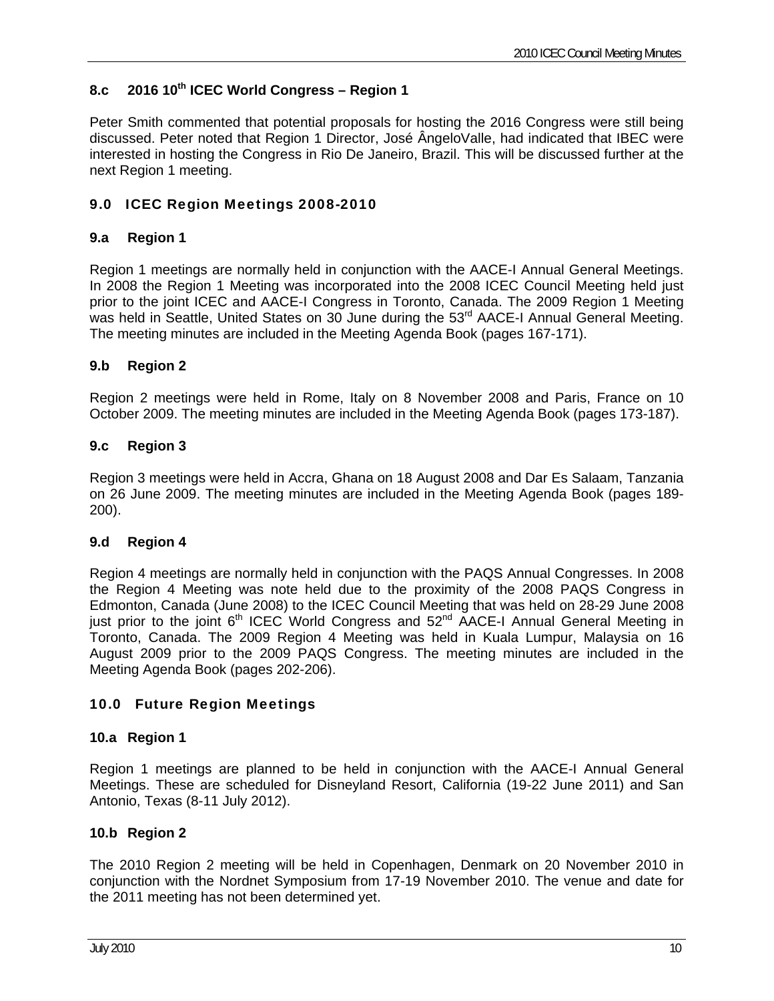### **8.c 2016 10th ICEC World Congress – Region 1**

Peter Smith commented that potential proposals for hosting the 2016 Congress were still being discussed. Peter noted that Region 1 Director, José ÂngeloValle, had indicated that IBEC were interested in hosting the Congress in Rio De Janeiro, Brazil. This will be discussed further at the next Region 1 meeting.

### 9.0 ICEC Region Meetings 2008-2010

### **9.a Region 1**

Region 1 meetings are normally held in conjunction with the AACE-I Annual General Meetings. In 2008 the Region 1 Meeting was incorporated into the 2008 ICEC Council Meeting held just prior to the joint ICEC and AACE-I Congress in Toronto, Canada. The 2009 Region 1 Meeting was held in Seattle, United States on 30 June during the 53<sup>rd</sup> AACE-I Annual General Meeting. The meeting minutes are included in the Meeting Agenda Book (pages 167-171).

### **9.b Region 2**

Region 2 meetings were held in Rome, Italy on 8 November 2008 and Paris, France on 10 October 2009. The meeting minutes are included in the Meeting Agenda Book (pages 173-187).

### **9.c Region 3**

Region 3 meetings were held in Accra, Ghana on 18 August 2008 and Dar Es Salaam, Tanzania on 26 June 2009. The meeting minutes are included in the Meeting Agenda Book (pages 189- 200).

### **9.d Region 4**

Region 4 meetings are normally held in conjunction with the PAQS Annual Congresses. In 2008 the Region 4 Meeting was note held due to the proximity of the 2008 PAQS Congress in Edmonton, Canada (June 2008) to the ICEC Council Meeting that was held on 28-29 June 2008 just prior to the joint 6<sup>th</sup> ICEC World Congress and 52<sup>nd</sup> AACE-I Annual General Meeting in Toronto, Canada. The 2009 Region 4 Meeting was held in Kuala Lumpur, Malaysia on 16 August 2009 prior to the 2009 PAQS Congress. The meeting minutes are included in the Meeting Agenda Book (pages 202-206).

### 10.0 Future Region Meetings

### **10.a Region 1**

Region 1 meetings are planned to be held in conjunction with the AACE-I Annual General Meetings. These are scheduled for Disneyland Resort, California (19-22 June 2011) and San Antonio, Texas (8-11 July 2012).

### **10.b Region 2**

The 2010 Region 2 meeting will be held in Copenhagen, Denmark on 20 November 2010 in conjunction with the Nordnet Symposium from 17-19 November 2010. The venue and date for the 2011 meeting has not been determined yet.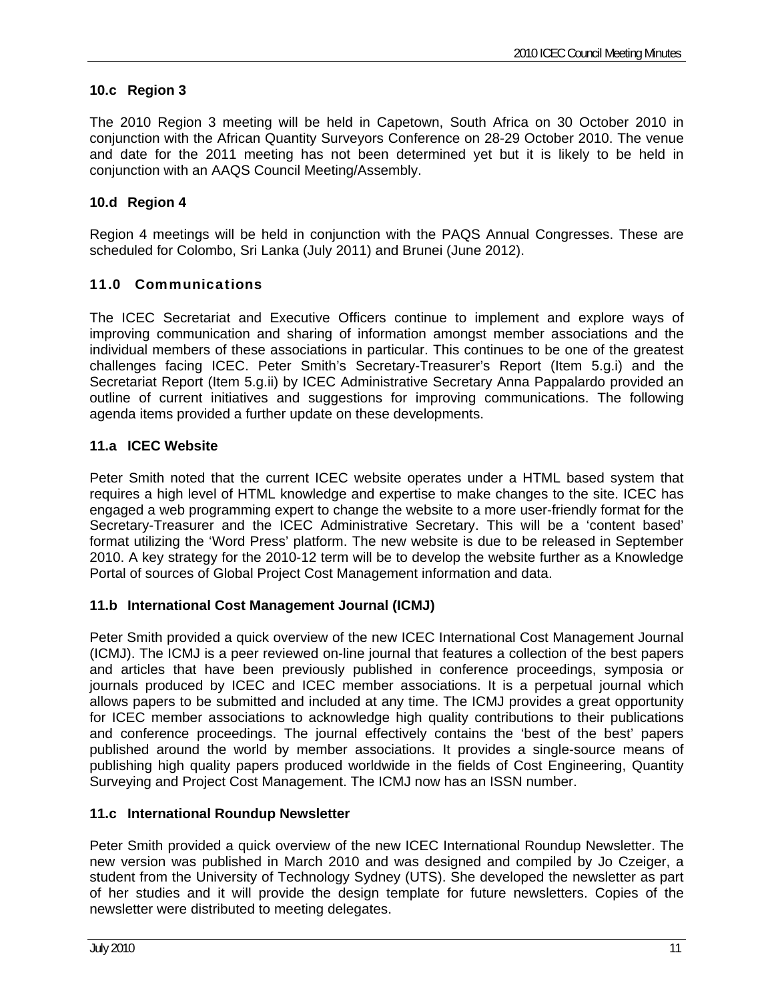### **10.c Region 3**

The 2010 Region 3 meeting will be held in Capetown, South Africa on 30 October 2010 in conjunction with the African Quantity Surveyors Conference on 28-29 October 2010. The venue and date for the 2011 meeting has not been determined yet but it is likely to be held in conjunction with an AAQS Council Meeting/Assembly.

### **10.d Region 4**

Region 4 meetings will be held in conjunction with the PAQS Annual Congresses. These are scheduled for Colombo, Sri Lanka (July 2011) and Brunei (June 2012).

### 11.0 Communications

The ICEC Secretariat and Executive Officers continue to implement and explore ways of improving communication and sharing of information amongst member associations and the individual members of these associations in particular. This continues to be one of the greatest challenges facing ICEC. Peter Smith's Secretary-Treasurer's Report (Item 5.g.i) and the Secretariat Report (Item 5.g.ii) by ICEC Administrative Secretary Anna Pappalardo provided an outline of current initiatives and suggestions for improving communications. The following agenda items provided a further update on these developments.

### **11.a ICEC Website**

Peter Smith noted that the current ICEC website operates under a HTML based system that requires a high level of HTML knowledge and expertise to make changes to the site. ICEC has engaged a web programming expert to change the website to a more user-friendly format for the Secretary-Treasurer and the ICEC Administrative Secretary. This will be a 'content based' format utilizing the 'Word Press' platform. The new website is due to be released in September 2010. A key strategy for the 2010-12 term will be to develop the website further as a Knowledge Portal of sources of Global Project Cost Management information and data.

### **11.b International Cost Management Journal (ICMJ)**

Peter Smith provided a quick overview of the new ICEC International Cost Management Journal (ICMJ). The ICMJ is a peer reviewed on-line journal that features a collection of the best papers and articles that have been previously published in conference proceedings, symposia or journals produced by ICEC and ICEC member associations. It is a perpetual journal which allows papers to be submitted and included at any time. The ICMJ provides a great opportunity for ICEC member associations to acknowledge high quality contributions to their publications and conference proceedings. The journal effectively contains the 'best of the best' papers published around the world by member associations. It provides a single-source means of publishing high quality papers produced worldwide in the fields of Cost Engineering, Quantity Surveying and Project Cost Management. The ICMJ now has an ISSN number.

### **11.c International Roundup Newsletter**

Peter Smith provided a quick overview of the new ICEC International Roundup Newsletter. The new version was published in March 2010 and was designed and compiled by Jo Czeiger, a student from the University of Technology Sydney (UTS). She developed the newsletter as part of her studies and it will provide the design template for future newsletters. Copies of the newsletter were distributed to meeting delegates.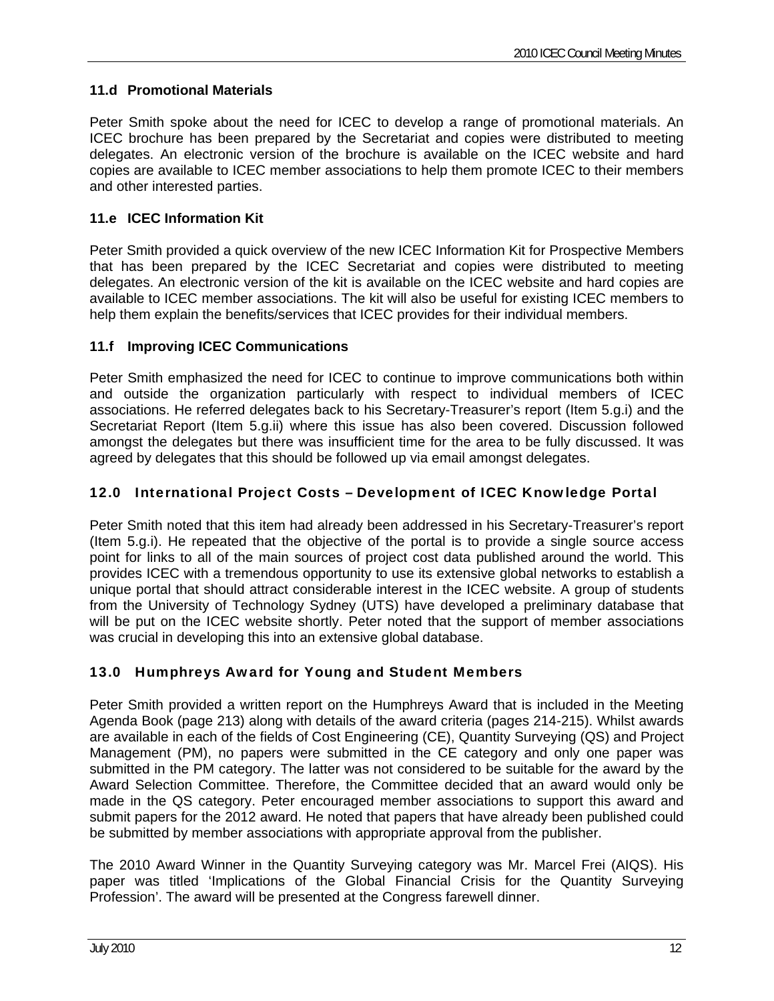## **11.d Promotional Materials**

Peter Smith spoke about the need for ICEC to develop a range of promotional materials. An ICEC brochure has been prepared by the Secretariat and copies were distributed to meeting delegates. An electronic version of the brochure is available on the ICEC website and hard copies are available to ICEC member associations to help them promote ICEC to their members and other interested parties.

### **11.e ICEC Information Kit**

Peter Smith provided a quick overview of the new ICEC Information Kit for Prospective Members that has been prepared by the ICEC Secretariat and copies were distributed to meeting delegates. An electronic version of the kit is available on the ICEC website and hard copies are available to ICEC member associations. The kit will also be useful for existing ICEC members to help them explain the benefits/services that ICEC provides for their individual members.

### **11.f Improving ICEC Communications**

Peter Smith emphasized the need for ICEC to continue to improve communications both within and outside the organization particularly with respect to individual members of ICEC associations. He referred delegates back to his Secretary-Treasurer's report (Item 5.g.i) and the Secretariat Report (Item 5.g.ii) where this issue has also been covered. Discussion followed amongst the delegates but there was insufficient time for the area to be fully discussed. It was agreed by delegates that this should be followed up via email amongst delegates.

### 12.0 International Project Costs – Development of ICEC Knowledge Portal

Peter Smith noted that this item had already been addressed in his Secretary-Treasurer's report (Item 5.g.i). He repeated that the objective of the portal is to provide a single source access point for links to all of the main sources of project cost data published around the world. This provides ICEC with a tremendous opportunity to use its extensive global networks to establish a unique portal that should attract considerable interest in the ICEC website. A group of students from the University of Technology Sydney (UTS) have developed a preliminary database that will be put on the ICEC website shortly. Peter noted that the support of member associations was crucial in developing this into an extensive global database.

### 13.0 Humphreys Award for Young and Student Members

Peter Smith provided a written report on the Humphreys Award that is included in the Meeting Agenda Book (page 213) along with details of the award criteria (pages 214-215). Whilst awards are available in each of the fields of Cost Engineering (CE), Quantity Surveying (QS) and Project Management (PM), no papers were submitted in the CE category and only one paper was submitted in the PM category. The latter was not considered to be suitable for the award by the Award Selection Committee. Therefore, the Committee decided that an award would only be made in the QS category. Peter encouraged member associations to support this award and submit papers for the 2012 award. He noted that papers that have already been published could be submitted by member associations with appropriate approval from the publisher.

The 2010 Award Winner in the Quantity Surveying category was Mr. Marcel Frei (AIQS). His paper was titled 'Implications of the Global Financial Crisis for the Quantity Surveying Profession'. The award will be presented at the Congress farewell dinner.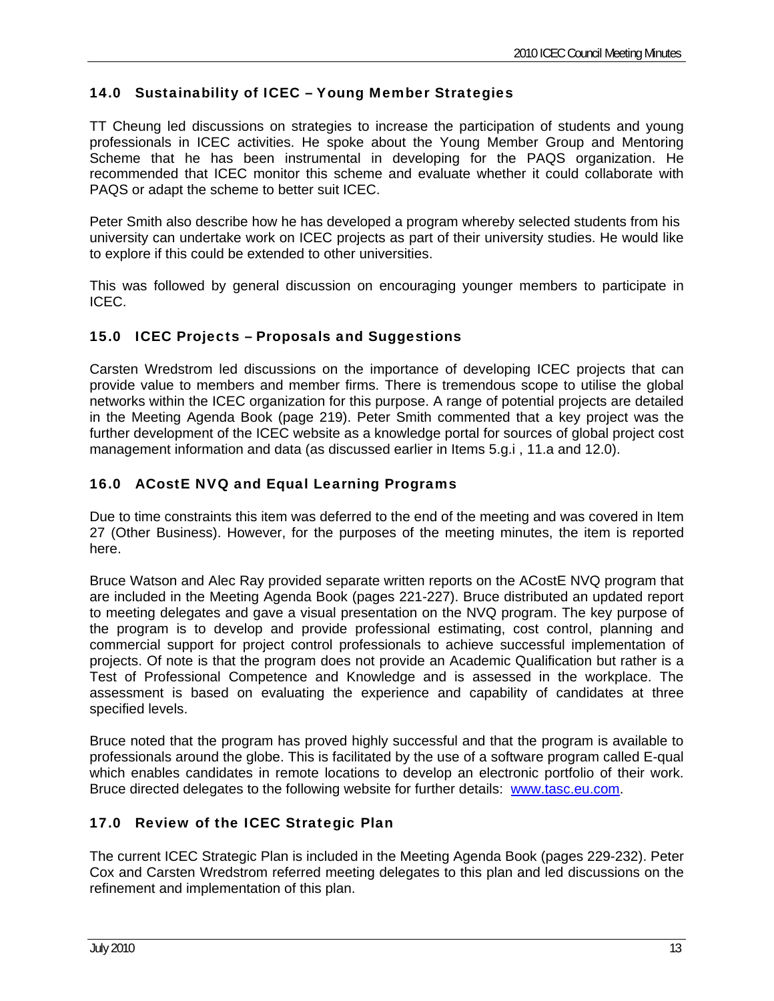## 14.0 Sustainability of ICEC – Young Member Strategies

TT Cheung led discussions on strategies to increase the participation of students and young professionals in ICEC activities. He spoke about the Young Member Group and Mentoring Scheme that he has been instrumental in developing for the PAQS organization. He recommended that ICEC monitor this scheme and evaluate whether it could collaborate with PAQS or adapt the scheme to better suit ICEC.

Peter Smith also describe how he has developed a program whereby selected students from his university can undertake work on ICEC projects as part of their university studies. He would like to explore if this could be extended to other universities.

This was followed by general discussion on encouraging younger members to participate in ICEC.

### 15.0 ICEC Projects – Proposals and Suggestions

Carsten Wredstrom led discussions on the importance of developing ICEC projects that can provide value to members and member firms. There is tremendous scope to utilise the global networks within the ICEC organization for this purpose. A range of potential projects are detailed in the Meeting Agenda Book (page 219). Peter Smith commented that a key project was the further development of the ICEC website as a knowledge portal for sources of global project cost management information and data (as discussed earlier in Items 5.g.i , 11.a and 12.0).

### 16.0 ACostE NVQ and Equal Learning Programs

Due to time constraints this item was deferred to the end of the meeting and was covered in Item 27 (Other Business). However, for the purposes of the meeting minutes, the item is reported here.

Bruce Watson and Alec Ray provided separate written reports on the ACostE NVQ program that are included in the Meeting Agenda Book (pages 221-227). Bruce distributed an updated report to meeting delegates and gave a visual presentation on the NVQ program. The key purpose of the program is to develop and provide professional estimating, cost control, planning and commercial support for project control professionals to achieve successful implementation of projects. Of note is that the program does not provide an Academic Qualification but rather is a Test of Professional Competence and Knowledge and is assessed in the workplace. The assessment is based on evaluating the experience and capability of candidates at three specified levels.

Bruce noted that the program has proved highly successful and that the program is available to professionals around the globe. This is facilitated by the use of a software program called E-qual which enables candidates in remote locations to develop an electronic portfolio of their work. Bruce directed delegates to the following website for further details: [www.tasc.eu.com](http://www.tasc.eu.com/).

### 17.0 Review of the ICEC Strategic Plan

The current ICEC Strategic Plan is included in the Meeting Agenda Book (pages 229-232). Peter Cox and Carsten Wredstrom referred meeting delegates to this plan and led discussions on the refinement and implementation of this plan.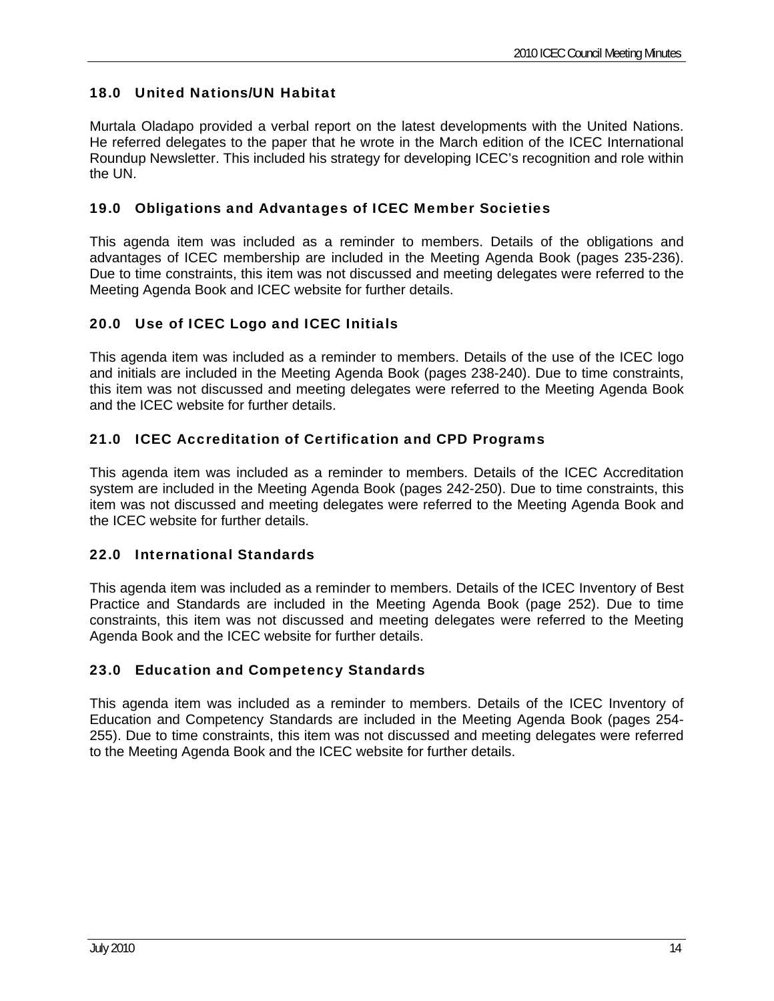# 18.0 United Nations/UN Habitat

Murtala Oladapo provided a verbal report on the latest developments with the United Nations. He referred delegates to the paper that he wrote in the March edition of the ICEC International Roundup Newsletter. This included his strategy for developing ICEC's recognition and role within the UN.

### 19.0 Obligations and Advantages of ICEC Member Societies

This agenda item was included as a reminder to members. Details of the obligations and advantages of ICEC membership are included in the Meeting Agenda Book (pages 235-236). Due to time constraints, this item was not discussed and meeting delegates were referred to the Meeting Agenda Book and ICEC website for further details.

## 20.0 Use of ICEC Logo and ICEC Initials

This agenda item was included as a reminder to members. Details of the use of the ICEC logo and initials are included in the Meeting Agenda Book (pages 238-240). Due to time constraints, this item was not discussed and meeting delegates were referred to the Meeting Agenda Book and the ICEC website for further details.

### 21.0 ICEC Accreditation of Certification and CPD Programs

This agenda item was included as a reminder to members. Details of the ICEC Accreditation system are included in the Meeting Agenda Book (pages 242-250). Due to time constraints, this item was not discussed and meeting delegates were referred to the Meeting Agenda Book and the ICEC website for further details.

### 22.0 International Standards

This agenda item was included as a reminder to members. Details of the ICEC Inventory of Best Practice and Standards are included in the Meeting Agenda Book (page 252). Due to time constraints, this item was not discussed and meeting delegates were referred to the Meeting Agenda Book and the ICEC website for further details.

## 23.0 Education and Competency Standards

This agenda item was included as a reminder to members. Details of the ICEC Inventory of Education and Competency Standards are included in the Meeting Agenda Book (pages 254- 255). Due to time constraints, this item was not discussed and meeting delegates were referred to the Meeting Agenda Book and the ICEC website for further details.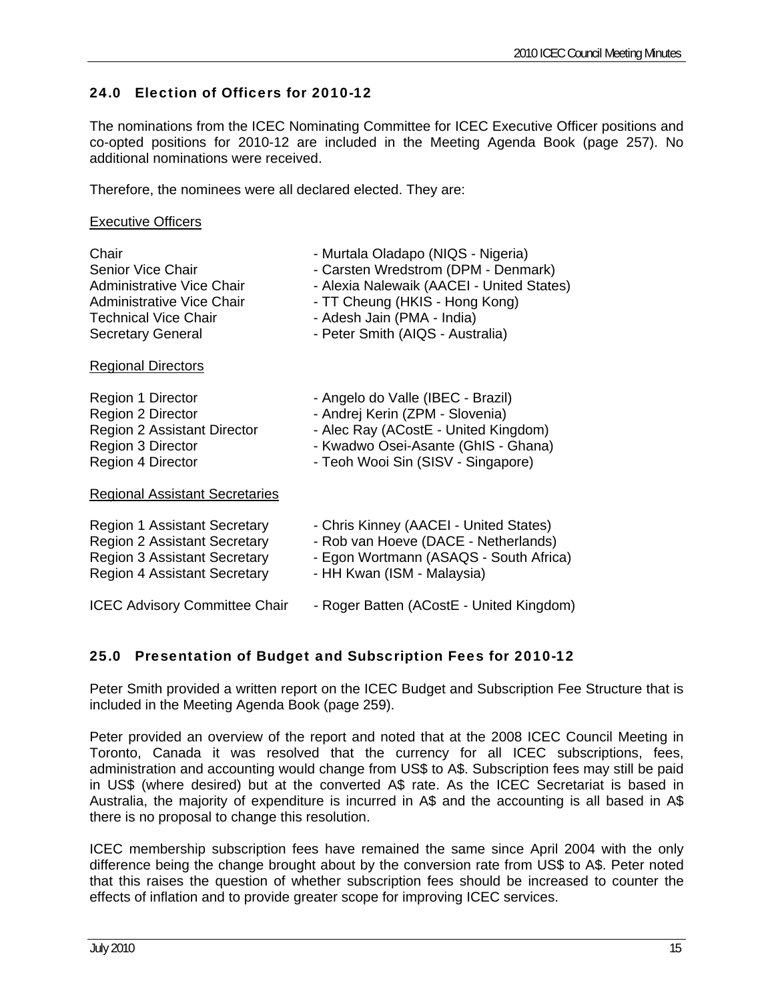### 24.0 Election of Officers for 2010-12

The nominations from the ICEC Nominating Committee for ICEC Executive Officer positions and co-opted positions for 2010-12 are included in the Meeting Agenda Book (page 257). No additional nominations were received.

Therefore, the nominees were all declared elected. They are:

### Executive Officers

| Chair                                 | - Murtala Oladapo (NIQS - Nigeria)        |
|---------------------------------------|-------------------------------------------|
| Senior Vice Chair                     | - Carsten Wredstrom (DPM - Denmark)       |
| Administrative Vice Chair             | - Alexia Nalewaik (AACEI - United States) |
| Administrative Vice Chair             | - TT Cheung (HKIS - Hong Kong)            |
| <b>Technical Vice Chair</b>           | - Adesh Jain (PMA - India)                |
| <b>Secretary General</b>              | - Peter Smith (AIQS - Australia)          |
| <b>Regional Directors</b>             |                                           |
| Region 1 Director                     | - Angelo do Valle (IBEC - Brazil)         |
| Region 2 Director                     | - Andrej Kerin (ZPM - Slovenia)           |
| Region 2 Assistant Director           | - Alec Ray (ACostE - United Kingdom)      |
| Region 3 Director                     | - Kwadwo Osei-Asante (GhIS - Ghana)       |
| Region 4 Director                     | - Teoh Wooi Sin (SISV - Singapore)        |
| <b>Regional Assistant Secretaries</b> |                                           |
| <b>Region 1 Assistant Secretary</b>   | - Chris Kinney (AACEI - United States)    |
| Region 2 Assistant Secretary          | - Rob van Hoeve (DACE - Netherlands)      |
| <b>Region 3 Assistant Secretary</b>   | - Egon Wortmann (ASAQS - South Africa)    |
| <b>Region 4 Assistant Secretary</b>   | - HH Kwan (ISM - Malaysia)                |
| <b>ICEC Advisory Committee Chair</b>  | - Roger Batten (ACostE - United Kingdom)  |

### 25.0 Presentation of Budget and Subscription Fees for 2010-12

Peter Smith provided a written report on the ICEC Budget and Subscription Fee Structure that is included in the Meeting Agenda Book (page 259).

Peter provided an overview of the report and noted that at the 2008 ICEC Council Meeting in Toronto, Canada it was resolved that the currency for all ICEC subscriptions, fees, administration and accounting would change from US\$ to A\$. Subscription fees may still be paid in US\$ (where desired) but at the converted A\$ rate. As the ICEC Secretariat is based in Australia, the majority of expenditure is incurred in A\$ and the accounting is all based in A\$ there is no proposal to change this resolution.

ICEC membership subscription fees have remained the same since April 2004 with the only difference being the change brought about by the conversion rate from US\$ to A\$. Peter noted that this raises the question of whether subscription fees should be increased to counter the effects of inflation and to provide greater scope for improving ICEC services.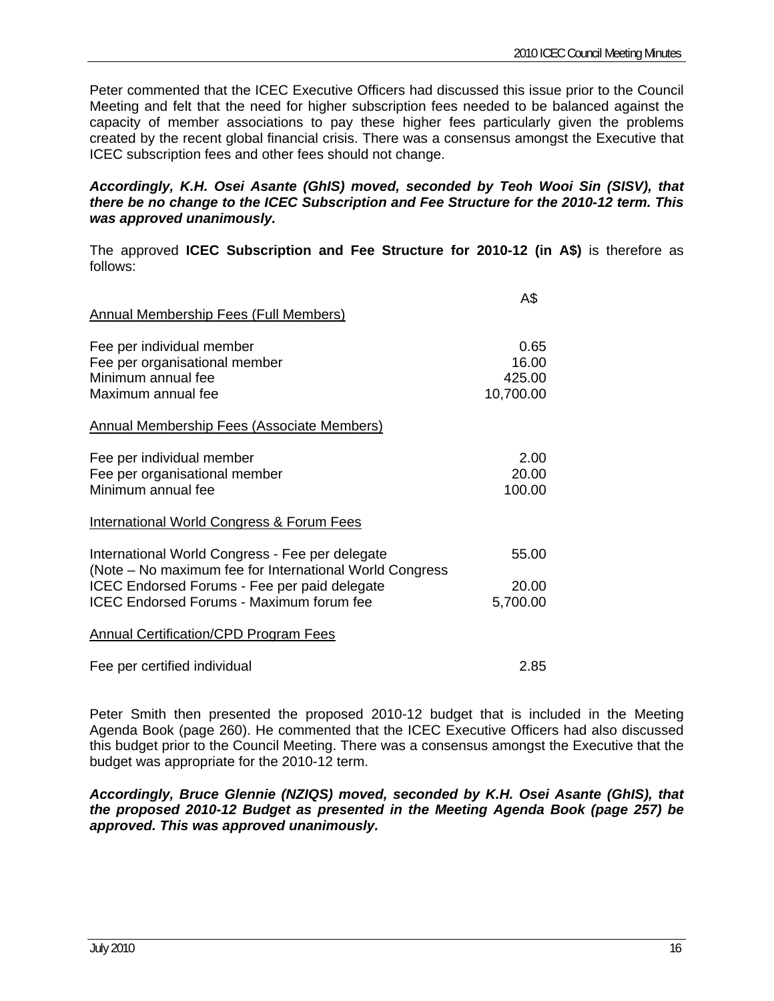Peter commented that the ICEC Executive Officers had discussed this issue prior to the Council Meeting and felt that the need for higher subscription fees needed to be balanced against the capacity of member associations to pay these higher fees particularly given the problems created by the recent global financial crisis. There was a consensus amongst the Executive that ICEC subscription fees and other fees should not change.

### *Accordingly, K.H. Osei Asante (GhIS) moved, seconded by Teoh Wooi Sin (SISV), that there be no change to the ICEC Subscription and Fee Structure for the 2010-12 term. This was approved unanimously.*

The approved **ICEC Subscription and Fee Structure for 2010-12 (in A\$)** is therefore as follows:

| <b>Annual Membership Fees (Full Members)</b>                                                                                                               | A\$                                  |
|------------------------------------------------------------------------------------------------------------------------------------------------------------|--------------------------------------|
| Fee per individual member<br>Fee per organisational member<br>Minimum annual fee<br>Maximum annual fee                                                     | 0.65<br>16.00<br>425.00<br>10,700.00 |
| <b>Annual Membership Fees (Associate Members)</b>                                                                                                          |                                      |
| Fee per individual member<br>Fee per organisational member<br>Minimum annual fee                                                                           | 2.00<br>20.00<br>100.00              |
| <b>International World Congress &amp; Forum Fees</b>                                                                                                       |                                      |
| International World Congress - Fee per delegate<br>(Note – No maximum fee for International World Congress<br>ICEC Endorsed Forums - Fee per paid delegate | 55.00<br>20.00                       |
| <b>ICEC Endorsed Forums - Maximum forum fee</b>                                                                                                            | 5,700.00                             |
| <b>Annual Certification/CPD Program Fees</b>                                                                                                               |                                      |
| Fee per certified individual                                                                                                                               | 2.85                                 |

Peter Smith then presented the proposed 2010-12 budget that is included in the Meeting Agenda Book (page 260). He commented that the ICEC Executive Officers had also discussed this budget prior to the Council Meeting. There was a consensus amongst the Executive that the budget was appropriate for the 2010-12 term.

*Accordingly, Bruce Glennie (NZIQS) moved, seconded by K.H. Osei Asante (GhIS), that the proposed 2010-12 Budget as presented in the Meeting Agenda Book (page 257) be approved. This was approved unanimously.*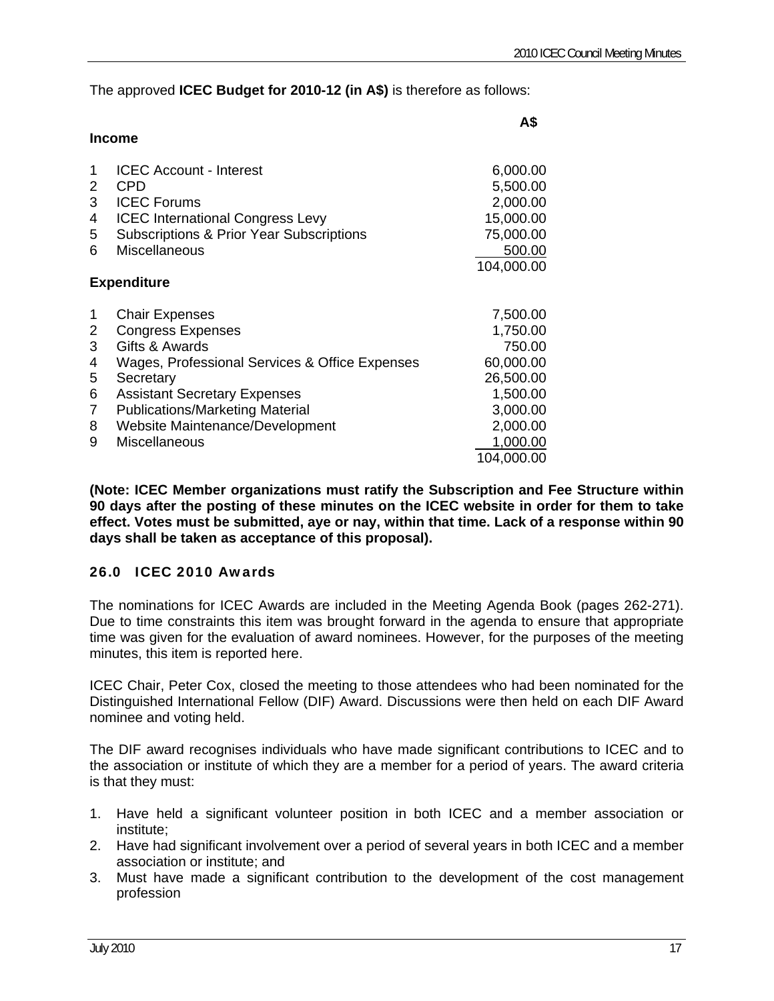The approved **ICEC Budget for 2010-12 (in A\$)** is therefore as follows:

|                                           | Income                                                                                                                                                                                                                                                                         | A\$                                                                                                                    |
|-------------------------------------------|--------------------------------------------------------------------------------------------------------------------------------------------------------------------------------------------------------------------------------------------------------------------------------|------------------------------------------------------------------------------------------------------------------------|
| 1<br>2                                    | <b>ICEC Account - Interest</b><br><b>CPD</b>                                                                                                                                                                                                                                   | 6,000.00<br>5,500.00                                                                                                   |
| 3<br>4<br>5                               | <b>ICEC Forums</b><br><b>ICEC</b> International Congress Levy<br><b>Subscriptions &amp; Prior Year Subscriptions</b>                                                                                                                                                           | 2,000.00<br>15,000.00<br>75,000.00                                                                                     |
| 6                                         | <b>Miscellaneous</b>                                                                                                                                                                                                                                                           | 500.00<br>104,000.00                                                                                                   |
|                                           | <b>Expenditure</b>                                                                                                                                                                                                                                                             |                                                                                                                        |
| 1<br>2<br>3<br>4<br>5<br>6<br>7<br>8<br>9 | <b>Chair Expenses</b><br><b>Congress Expenses</b><br>Gifts & Awards<br>Wages, Professional Services & Office Expenses<br>Secretary<br><b>Assistant Secretary Expenses</b><br><b>Publications/Marketing Material</b><br>Website Maintenance/Development<br><b>Miscellaneous</b> | 7,500.00<br>1,750.00<br>750.00<br>60,000.00<br>26,500.00<br>1,500.00<br>3,000.00<br>2,000.00<br>1,000.00<br>104,000.00 |

**(Note: ICEC Member organizations must ratify the Subscription and Fee Structure within 90 days after the posting of these minutes on the ICEC website in order for them to take effect. Votes must be submitted, aye or nay, within that time. Lack of a response within 90 days shall be taken as acceptance of this proposal).** 

### 26.0 ICEC 2010 Awards

The nominations for ICEC Awards are included in the Meeting Agenda Book (pages 262-271). Due to time constraints this item was brought forward in the agenda to ensure that appropriate time was given for the evaluation of award nominees. However, for the purposes of the meeting minutes, this item is reported here.

ICEC Chair, Peter Cox, closed the meeting to those attendees who had been nominated for the Distinguished International Fellow (DIF) Award. Discussions were then held on each DIF Award nominee and voting held.

The DIF award recognises individuals who have made significant contributions to ICEC and to the association or institute of which they are a member for a period of years. The award criteria is that they must:

- 1. Have held a significant volunteer position in both ICEC and a member association or institute;
- 2. Have had significant involvement over a period of several years in both ICEC and a member association or institute; and
- 3. Must have made a significant contribution to the development of the cost management profession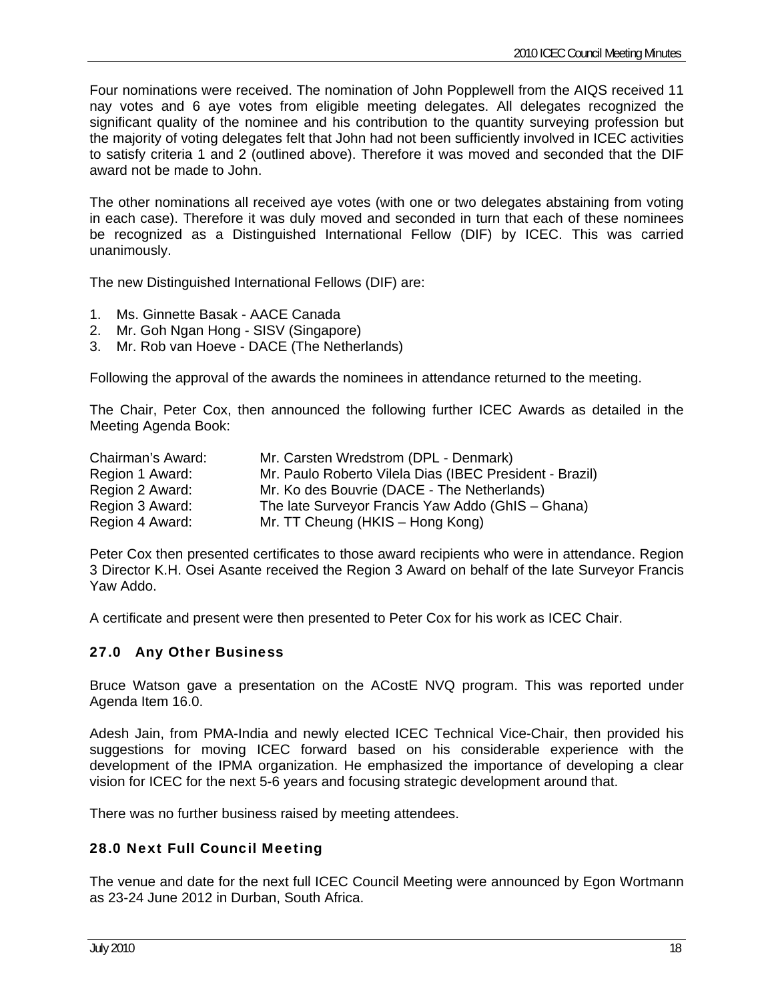Four nominations were received. The nomination of John Popplewell from the AIQS received 11 nay votes and 6 aye votes from eligible meeting delegates. All delegates recognized the significant quality of the nominee and his contribution to the quantity surveying profession but the majority of voting delegates felt that John had not been sufficiently involved in ICEC activities to satisfy criteria 1 and 2 (outlined above). Therefore it was moved and seconded that the DIF award not be made to John.

The other nominations all received aye votes (with one or two delegates abstaining from voting in each case). Therefore it was duly moved and seconded in turn that each of these nominees be recognized as a Distinguished International Fellow (DIF) by ICEC. This was carried unanimously.

The new Distinguished International Fellows (DIF) are:

- 1. Ms. Ginnette Basak AACE Canada
- 2. Mr. Goh Ngan Hong SISV (Singapore)
- 3. Mr. Rob van Hoeve DACE (The Netherlands)

Following the approval of the awards the nominees in attendance returned to the meeting.

The Chair, Peter Cox, then announced the following further ICEC Awards as detailed in the Meeting Agenda Book:

| Chairman's Award: | Mr. Carsten Wredstrom (DPL - Denmark)                   |
|-------------------|---------------------------------------------------------|
| Region 1 Award:   | Mr. Paulo Roberto Vilela Dias (IBEC President - Brazil) |
| Region 2 Award:   | Mr. Ko des Bouvrie (DACE - The Netherlands)             |
| Region 3 Award:   | The late Surveyor Francis Yaw Addo (GhIS – Ghana)       |
| Region 4 Award:   | Mr. TT Cheung (HKIS – Hong Kong)                        |

Peter Cox then presented certificates to those award recipients who were in attendance. Region 3 Director K.H. Osei Asante received the Region 3 Award on behalf of the late Surveyor Francis Yaw Addo.

A certificate and present were then presented to Peter Cox for his work as ICEC Chair.

### 27.0 Any Other Business

Bruce Watson gave a presentation on the ACostE NVQ program. This was reported under Agenda Item 16.0.

Adesh Jain, from PMA-India and newly elected ICEC Technical Vice-Chair, then provided his suggestions for moving ICEC forward based on his considerable experience with the development of the IPMA organization. He emphasized the importance of developing a clear vision for ICEC for the next 5-6 years and focusing strategic development around that.

There was no further business raised by meeting attendees.

### 28.0 Next Full Council Meeting

The venue and date for the next full ICEC Council Meeting were announced by Egon Wortmann as 23-24 June 2012 in Durban, South Africa.